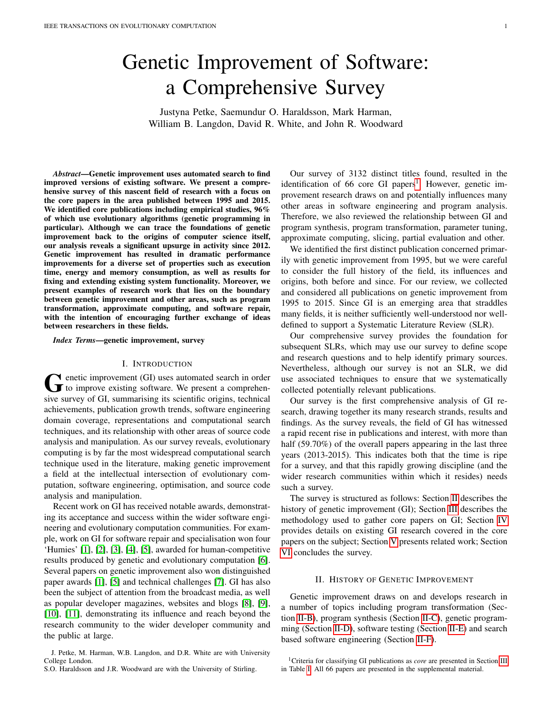# Genetic Improvement of Software: a Comprehensive Survey

Justyna Petke, Saemundur O. Haraldsson, Mark Harman, William B. Langdon, David R. White, and John R. Woodward

*Abstract*—Genetic improvement uses automated search to find improved versions of existing software. We present a comprehensive survey of this nascent field of research with a focus on the core papers in the area published between 1995 and 2015. We identified core publications including empirical studies, 96% of which use evolutionary algorithms (genetic programming in particular). Although we can trace the foundations of genetic improvement back to the origins of computer science itself, our analysis reveals a significant upsurge in activity since 2012. Genetic improvement has resulted in dramatic performance improvements for a diverse set of properties such as execution time, energy and memory consumption, as well as results for fixing and extending existing system functionality. Moreover, we present examples of research work that lies on the boundary between genetic improvement and other areas, such as program transformation, approximate computing, and software repair, with the intention of encouraging further exchange of ideas between researchers in these fields.

*Index Terms*—genetic improvement, survey

#### I. INTRODUCTION

G enetic improvement (GI) uses automated search in order<br>to improve existing software. We present a comprehen-<br>in group of GI, automatic is a similar distribution to the individual  $\blacktriangleright$  enetic improvement (GI) uses automated search in order sive survey of GI, summarising its scientific origins, technical achievements, publication growth trends, software engineering domain coverage, representations and computational search techniques, and its relationship with other areas of source code analysis and manipulation. As our survey reveals, evolutionary computing is by far the most widespread computational search technique used in the literature, making genetic improvement a field at the intellectual intersection of evolutionary computation, software engineering, optimisation, and source code analysis and manipulation.

Recent work on GI has received notable awards, demonstrating its acceptance and success within the wider software engineering and evolutionary computation communities. For example, work on GI for software repair and specialisation won four 'Humies' [\[1\]](#page-12-0), [\[2\]](#page-13-0), [\[3\]](#page-13-1), [\[4\]](#page-13-2), [\[5\]](#page-13-3), awarded for human-competitive results produced by genetic and evolutionary computation [\[6\]](#page-13-4). Several papers on genetic improvement also won distinguished paper awards [\[1\]](#page-12-0), [\[5\]](#page-13-3) and technical challenges [\[7\]](#page-13-5). GI has also been the subject of attention from the broadcast media, as well as popular developer magazines, websites and blogs [\[8\]](#page-13-6), [\[9\]](#page-13-7), [\[10\]](#page-13-8), [\[11\]](#page-13-9), demonstrating its influence and reach beyond the research community to the wider developer community and the public at large.

Our survey of 3132 distinct titles found, resulted in the identification of 66 core GI papers<sup>[1](#page-0-0)</sup>. However, genetic improvement research draws on and potentially influences many other areas in software engineering and program analysis. Therefore, we also reviewed the relationship between GI and program synthesis, program transformation, parameter tuning, approximate computing, slicing, partial evaluation and other.

We identified the first distinct publication concerned primarily with genetic improvement from 1995, but we were careful to consider the full history of the field, its influences and origins, both before and since. For our review, we collected and considered all publications on genetic improvement from 1995 to 2015. Since GI is an emerging area that straddles many fields, it is neither sufficiently well-understood nor welldefined to support a Systematic Literature Review (SLR).

Our comprehensive survey provides the foundation for subsequent SLRs, which may use our survey to define scope and research questions and to help identify primary sources. Nevertheless, although our survey is not an SLR, we did use associated techniques to ensure that we systematically collected potentially relevant publications.

Our survey is the first comprehensive analysis of GI research, drawing together its many research strands, results and findings. As the survey reveals, the field of GI has witnessed a rapid recent rise in publications and interest, with more than half (59.70%) of the overall papers appearing in the last three years (2013-2015). This indicates both that the time is ripe for a survey, and that this rapidly growing discipline (and the wider research communities within which it resides) needs such a survey.

The survey is structured as follows: Section [II](#page-0-1) describes the history of genetic improvement (GI); Section [III](#page-4-0) describes the methodology used to gather core papers on GI; Section [IV](#page-5-0) provides details on existing GI research covered in the core papers on the subject; Section [V](#page-10-0) presents related work; Section [VI](#page-12-1) concludes the survey.

## II. HISTORY OF GENETIC IMPROVEMENT

<span id="page-0-1"></span>Genetic improvement draws on and develops research in a number of topics including program transformation (Section [II-B\)](#page-1-0), program synthesis (Section [II-C\)](#page-1-1), genetic programming (Section [II-D\)](#page-1-2), software testing (Section [II-E\)](#page-2-0) and search based software engineering (Section [II-F\)](#page-2-1).

J. Petke, M. Harman, W.B. Langdon, and D.R. White are with University College London.

S.O. Haraldsson and J.R. Woodward are with the University of Stirling.

<span id="page-0-0"></span><sup>1</sup>Criteria for classifying GI publications as *core* are presented in Section [III](#page-4-0) in Table [I.](#page-4-1) All 66 papers are presented in the supplemental material.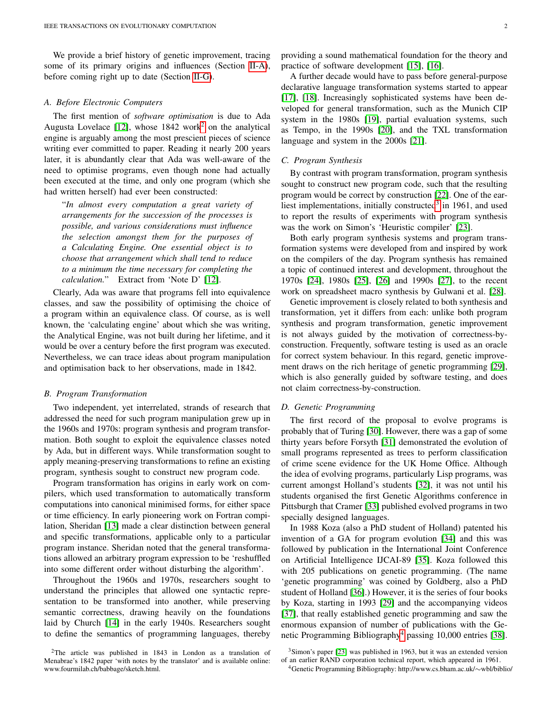We provide a brief history of genetic improvement, tracing some of its primary origins and influences (Section [II-A\)](#page-1-3), before coming right up to date (Section [II-G\)](#page-3-0).

## <span id="page-1-3"></span>*A. Before Electronic Computers*

The first mention of *software optimisation* is due to Ada Augusta Lovelace [\[12\]](#page-13-10), whose 184[2](#page-1-4) work<sup>2</sup> on the analytical engine is arguably among the most prescient pieces of science writing ever committed to paper. Reading it nearly 200 years later, it is abundantly clear that Ada was well-aware of the need to optimise programs, even though none had actually been executed at the time, and only one program (which she had written herself) had ever been constructed:

"*In almost every computation a great variety of arrangements for the succession of the processes is possible, and various considerations must influence the selection amongst them for the purposes of a Calculating Engine. One essential object is to choose that arrangement which shall tend to reduce to a minimum the time necessary for completing the calculation.*" Extract from 'Note D' [\[12\]](#page-13-10).

Clearly, Ada was aware that programs fell into equivalence classes, and saw the possibility of optimising the choice of a program within an equivalence class. Of course, as is well known, the 'calculating engine' about which she was writing, the Analytical Engine, was not built during her lifetime, and it would be over a century before the first program was executed. Nevertheless, we can trace ideas about program manipulation and optimisation back to her observations, made in 1842.

#### <span id="page-1-0"></span>*B. Program Transformation*

Two independent, yet interrelated, strands of research that addressed the need for such program manipulation grew up in the 1960s and 1970s: program synthesis and program transformation. Both sought to exploit the equivalence classes noted by Ada, but in different ways. While transformation sought to apply meaning-preserving transformations to refine an existing program, synthesis sought to construct new program code.

Program transformation has origins in early work on compilers, which used transformation to automatically transform computations into canonical minimised forms, for either space or time efficiency. In early pioneering work on Fortran compilation, Sheridan [\[13\]](#page-13-11) made a clear distinction between general and specific transformations, applicable only to a particular program instance. Sheridan noted that the general transformations allowed an arbitrary program expression to be 'reshuffled into some different order without disturbing the algorithm'.

Throughout the 1960s and 1970s, researchers sought to understand the principles that allowed one syntactic representation to be transformed into another, while preserving semantic correctness, drawing heavily on the foundations laid by Church [\[14\]](#page-13-12) in the early 1940s. Researchers sought to define the semantics of programming languages, thereby

<span id="page-1-4"></span><sup>2</sup>The article was published in 1843 in London as a translation of Menabrae's 1842 paper 'with notes by the translator' and is available online: www.fourmilab.ch/babbage/sketch.html.

A further decade would have to pass before general-purpose declarative language transformation systems started to appear [\[17\]](#page-13-15), [\[18\]](#page-13-16). Increasingly sophisticated systems have been developed for general transformation, such as the Munich CIP system in the 1980s [\[19\]](#page-13-17), partial evaluation systems, such as Tempo, in the 1990s [\[20\]](#page-13-18), and the TXL transformation language and system in the 2000s [\[21\]](#page-13-19).

## <span id="page-1-1"></span>*C. Program Synthesis*

By contrast with program transformation, program synthesis sought to construct new program code, such that the resulting program would be correct by construction [\[22\]](#page-13-20). One of the ear-liest implementations, initially constructed<sup>[3](#page-1-5)</sup> in 1961, and used to report the results of experiments with program synthesis was the work on Simon's 'Heuristic compiler' [\[23\]](#page-13-21).

Both early program synthesis systems and program transformation systems were developed from and inspired by work on the compilers of the day. Program synthesis has remained a topic of continued interest and development, throughout the 1970s [\[24\]](#page-13-22), 1980s [\[25\]](#page-13-23), [\[26\]](#page-13-24) and 1990s [\[27\]](#page-13-25), to the recent work on spreadsheet macro synthesis by Gulwani et al. [\[28\]](#page-13-26).

Genetic improvement is closely related to both synthesis and transformation, yet it differs from each: unlike both program synthesis and program transformation, genetic improvement is not always guided by the motivation of correctness-byconstruction. Frequently, software testing is used as an oracle for correct system behaviour. In this regard, genetic improvement draws on the rich heritage of genetic programming [\[29\]](#page-13-27), which is also generally guided by software testing, and does not claim correctness-by-construction.

## <span id="page-1-2"></span>*D. Genetic Programming*

The first record of the proposal to evolve programs is probably that of Turing [\[30\]](#page-13-28). However, there was a gap of some thirty years before Forsyth [\[31\]](#page-13-29) demonstrated the evolution of small programs represented as trees to perform classification of crime scene evidence for the UK Home Office. Although the idea of evolving programs, particularly Lisp programs, was current amongst Holland's students [\[32\]](#page-13-30), it was not until his students organised the first Genetic Algorithms conference in Pittsburgh that Cramer [\[33\]](#page-13-31) published evolved programs in two specially designed languages.

In 1988 Koza (also a PhD student of Holland) patented his invention of a GA for program evolution [\[34\]](#page-13-32) and this was followed by publication in the International Joint Conference on Artificial Intelligence IJCAI-89 [\[35\]](#page-13-33). Koza followed this with 205 publications on genetic programming. (The name 'genetic programming' was coined by Goldberg, also a PhD student of Holland [\[36\]](#page-13-34).) However, it is the series of four books by Koza, starting in 1993 [\[29\]](#page-13-27) and the accompanying videos [\[37\]](#page-13-35), that really established genetic programming and saw the enormous expansion of number of publications with the Ge-netic Programming Bibliography<sup>[4](#page-1-6)</sup> passing 10,000 entries [\[38\]](#page-13-36).

<span id="page-1-5"></span> $3$ Simon's paper [\[23\]](#page-13-21) was published in 1963, but it was an extended version of an earlier RAND corporation technical report, which appeared in 1961.

<span id="page-1-6"></span><sup>4</sup>Genetic Programming Bibliography: http://www.cs.bham.ac.uk/∼wbl/biblio/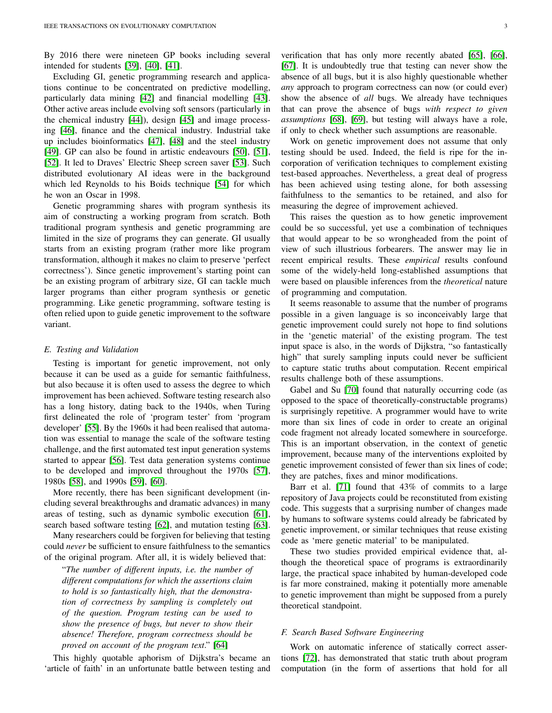By 2016 there were nineteen GP books including several intended for students [\[39\]](#page-13-37), [\[40\]](#page-13-38), [\[41\]](#page-13-39).

Excluding GI, genetic programming research and applications continue to be concentrated on predictive modelling, particularly data mining [\[42\]](#page-13-40) and financial modelling [\[43\]](#page-13-41). Other active areas include evolving soft sensors (particularly in the chemical industry [\[44\]](#page-13-42)), design [\[45\]](#page-13-43) and image processing [\[46\]](#page-13-44), finance and the chemical industry. Industrial take up includes bioinformatics [\[47\]](#page-13-45), [\[48\]](#page-13-46) and the steel industry [\[49\]](#page-13-47). GP can also be found in artistic endeavours [\[50\]](#page-13-48), [\[51\]](#page-13-49), [\[52\]](#page-13-50). It led to Draves' Electric Sheep screen saver [\[53\]](#page-13-51). Such distributed evolutionary AI ideas were in the background which led Reynolds to his Boids technique [\[54\]](#page-13-52) for which he won an Oscar in 1998.

Genetic programming shares with program synthesis its aim of constructing a working program from scratch. Both traditional program synthesis and genetic programming are limited in the size of programs they can generate. GI usually starts from an existing program (rather more like program transformation, although it makes no claim to preserve 'perfect correctness'). Since genetic improvement's starting point can be an existing program of arbitrary size, GI can tackle much larger programs than either program synthesis or genetic programming. Like genetic programming, software testing is often relied upon to guide genetic improvement to the software variant.

#### <span id="page-2-0"></span>*E. Testing and Validation*

Testing is important for genetic improvement, not only because it can be used as a guide for semantic faithfulness, but also because it is often used to assess the degree to which improvement has been achieved. Software testing research also has a long history, dating back to the 1940s, when Turing first delineated the role of 'program tester' from 'program developer' [\[55\]](#page-13-53). By the 1960s it had been realised that automation was essential to manage the scale of the software testing challenge, and the first automated test input generation systems started to appear [\[56\]](#page-13-54). Test data generation systems continue to be developed and improved throughout the 1970s [\[57\]](#page-13-55), 1980s [\[58\]](#page-13-56), and 1990s [\[59\]](#page-13-57), [\[60\]](#page-13-58).

More recently, there has been significant development (including several breakthroughs and dramatic advances) in many areas of testing, such as dynamic symbolic execution [\[61\]](#page-13-59), search based software testing [\[62\]](#page-14-0), and mutation testing [\[63\]](#page-14-1).

Many researchers could be forgiven for believing that testing could *never* be sufficient to ensure faithfulness to the semantics of the original program. After all, it is widely believed that:

"*The number of different inputs, i.e. the number of different computations for which the assertions claim to hold is so fantastically high, that the demonstration of correctness by sampling is completely out of the question. Program testing can be used to show the presence of bugs, but never to show their absence! Therefore, program correctness should be proved on account of the program text*." [\[64\]](#page-14-2)

This highly quotable aphorism of Dijkstra's became an 'article of faith' in an unfortunate battle between testing and verification that has only more recently abated [\[65\]](#page-14-3), [\[66\]](#page-14-4), [\[67\]](#page-14-5). It is undoubtedly true that testing can never show the absence of all bugs, but it is also highly questionable whether *any* approach to program correctness can now (or could ever) show the absence of *all* bugs. We already have techniques that can prove the absence of bugs *with respect to given assumptions* [\[68\]](#page-14-6), [\[69\]](#page-14-7), but testing will always have a role, if only to check whether such assumptions are reasonable.

Work on genetic improvement does not assume that only testing should be used. Indeed, the field is ripe for the incorporation of verification techniques to complement existing test-based approaches. Nevertheless, a great deal of progress has been achieved using testing alone, for both assessing faithfulness to the semantics to be retained, and also for measuring the degree of improvement achieved.

This raises the question as to how genetic improvement could be so successful, yet use a combination of techniques that would appear to be so wrongheaded from the point of view of such illustrious forbearers. The answer may lie in recent empirical results. These *empirical* results confound some of the widely-held long-established assumptions that were based on plausible inferences from the *theoretical* nature of programming and computation.

It seems reasonable to assume that the number of programs possible in a given language is so inconceivably large that genetic improvement could surely not hope to find solutions in the 'genetic material' of the existing program. The test input space is also, in the words of Dijkstra, "so fantastically high" that surely sampling inputs could never be sufficient to capture static truths about computation. Recent empirical results challenge both of these assumptions.

Gabel and Su [\[70\]](#page-14-8) found that naturally occurring code (as opposed to the space of theoretically-constructable programs) is surprisingly repetitive. A programmer would have to write more than six lines of code in order to create an original code fragment not already located somewhere in sourceforge. This is an important observation, in the context of genetic improvement, because many of the interventions exploited by genetic improvement consisted of fewer than six lines of code; they are patches, fixes and minor modifications.

Barr et al. [\[71\]](#page-14-9) found that 43% of commits to a large repository of Java projects could be reconstituted from existing code. This suggests that a surprising number of changes made by humans to software systems could already be fabricated by genetic improvement, or similar techniques that reuse existing code as 'mere genetic material' to be manipulated.

These two studies provided empirical evidence that, although the theoretical space of programs is extraordinarily large, the practical space inhabited by human-developed code is far more constrained, making it potentially more amenable to genetic improvement than might be supposed from a purely theoretical standpoint.

## <span id="page-2-1"></span>*F. Search Based Software Engineering*

Work on automatic inference of statically correct assertions [\[72\]](#page-14-10), has demonstrated that static truth about program computation (in the form of assertions that hold for all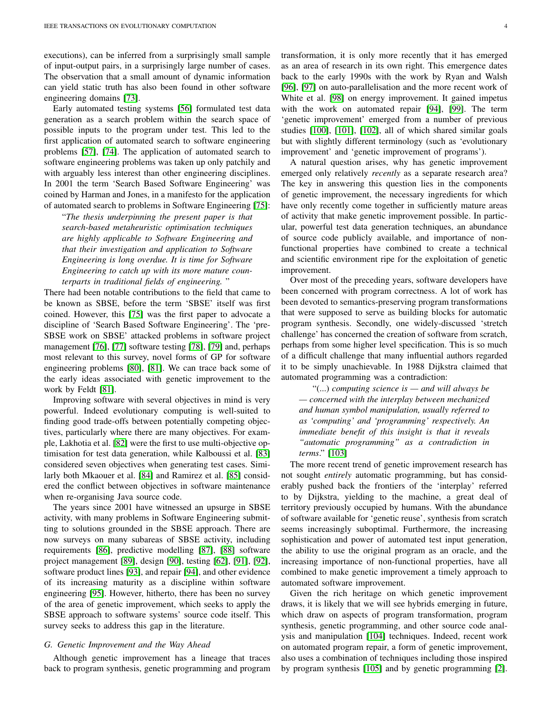executions), can be inferred from a surprisingly small sample of input-output pairs, in a surprisingly large number of cases. The observation that a small amount of dynamic information can yield static truth has also been found in other software engineering domains [\[73\]](#page-14-11).

Early automated testing systems [\[56\]](#page-13-54) formulated test data generation as a search problem within the search space of possible inputs to the program under test. This led to the first application of automated search to software engineering problems [\[57\]](#page-13-55), [\[74\]](#page-14-12). The application of automated search to software engineering problems was taken up only patchily and with arguably less interest than other engineering disciplines. In 2001 the term 'Search Based Software Engineering' was coined by Harman and Jones, in a manifesto for the application of automated search to problems in Software Engineering [\[75\]](#page-14-13):

"*The thesis underpinning the present paper is that search-based metaheuristic optimisation techniques are highly applicable to Software Engineering and that their investigation and application to Software Engineering is long overdue. It is time for Software Engineering to catch up with its more mature counterparts in traditional fields of engineering.* "

There had been notable contributions to the field that came to be known as SBSE, before the term 'SBSE' itself was first coined. However, this [\[75\]](#page-14-13) was the first paper to advocate a discipline of 'Search Based Software Engineering'. The 'pre-SBSE work on SBSE' attacked problems in software project management [\[76\]](#page-14-14), [\[77\]](#page-14-15) software testing [\[78\]](#page-14-16), [\[79\]](#page-14-17) and, perhaps most relevant to this survey, novel forms of GP for software engineering problems [\[80\]](#page-14-18), [\[81\]](#page-14-19). We can trace back some of the early ideas associated with genetic improvement to the work by Feldt [\[81\]](#page-14-19).

Improving software with several objectives in mind is very powerful. Indeed evolutionary computing is well-suited to finding good trade-offs between potentially competing objectives, particularly where there are many objectives. For example, Lakhotia et al. [\[82\]](#page-14-20) were the first to use multi-objective optimisation for test data generation, while Kalboussi et al. [\[83\]](#page-14-21) considered seven objectives when generating test cases. Similarly both Mkaouer et al. [\[84\]](#page-14-22) and Ramirez et al. [\[85\]](#page-14-23) considered the conflict between objectives in software maintenance when re-organising Java source code.

The years since 2001 have witnessed an upsurge in SBSE activity, with many problems in Software Engineering submitting to solutions grounded in the SBSE approach. There are now surveys on many subareas of SBSE activity, including requirements [\[86\]](#page-14-24), predictive modelling [\[87\]](#page-14-25), [\[88\]](#page-14-26) software project management [\[89\]](#page-14-27), design [\[90\]](#page-14-28), testing [\[62\]](#page-14-0), [\[91\]](#page-14-29), [\[92\]](#page-14-30), software product lines [\[93\]](#page-14-31), and repair [\[94\]](#page-14-32), and other evidence of its increasing maturity as a discipline within software engineering [\[95\]](#page-14-33). However, hitherto, there has been no survey of the area of genetic improvement, which seeks to apply the SBSE approach to software systems' source code itself. This survey seeks to address this gap in the literature.

# <span id="page-3-0"></span>*G. Genetic Improvement and the Way Ahead*

Although genetic improvement has a lineage that traces back to program synthesis, genetic programming and program transformation, it is only more recently that it has emerged as an area of research in its own right. This emergence dates back to the early 1990s with the work by Ryan and Walsh [\[96\]](#page-14-34), [\[97\]](#page-14-35) on auto-parallelisation and the more recent work of White et al. [\[98\]](#page-14-36) on energy improvement. It gained impetus with the work on automated repair [\[94\]](#page-14-32), [\[99\]](#page-14-37). The term 'genetic improvement' emerged from a number of previous studies [\[100\]](#page-14-38), [\[101\]](#page-14-39), [\[102\]](#page-14-40), all of which shared similar goals but with slightly different terminology (such as 'evolutionary improvement' and 'genetic improvement of programs').

A natural question arises, why has genetic improvement emerged only relatively *recently* as a separate research area? The key in answering this question lies in the components of genetic improvement, the necessary ingredients for which have only recently come together in sufficiently mature areas of activity that make genetic improvement possible. In particular, powerful test data generation techniques, an abundance of source code publicly available, and importance of nonfunctional properties have combined to create a technical and scientific environment ripe for the exploitation of genetic improvement.

Over most of the preceding years, software developers have been concerned with program correctness. A lot of work has been devoted to semantics-preserving program transformations that were supposed to serve as building blocks for automatic program synthesis. Secondly, one widely-discussed 'stretch challenge' has concerned the creation of software from scratch, perhaps from some higher level specification. This is so much of a difficult challenge that many influential authors regarded it to be simply unachievable. In 1988 Dijkstra claimed that automated programming was a contradiction:

"(...) *computing science is — and will always be — concerned with the interplay between mechanized and human symbol manipulation, usually referred to as 'computing' and 'programming' respectively. An immediate benefit of this insight is that it reveals "automatic programming" as a contradiction in terms*." [\[103\]](#page-14-41)

The more recent trend of genetic improvement research has not sought *entirely* automatic programming, but has considerably pushed back the frontiers of the 'interplay' referred to by Dijkstra, yielding to the machine, a great deal of territory previously occupied by humans. With the abundance of software available for 'genetic reuse', synthesis from scratch seems increasingly suboptimal. Furthermore, the increasing sophistication and power of automated test input generation, the ability to use the original program as an oracle, and the increasing importance of non-functional properties, have all combined to make genetic improvement a timely approach to automated software improvement.

Given the rich heritage on which genetic improvement draws, it is likely that we will see hybrids emerging in future, which draw on aspects of program transformation, program synthesis, genetic programming, and other source code analysis and manipulation [\[104\]](#page-14-42) techniques. Indeed, recent work on automated program repair, a form of genetic improvement, also uses a combination of techniques including those inspired by program synthesis [\[105\]](#page-14-43) and by genetic programming [\[2\]](#page-13-0).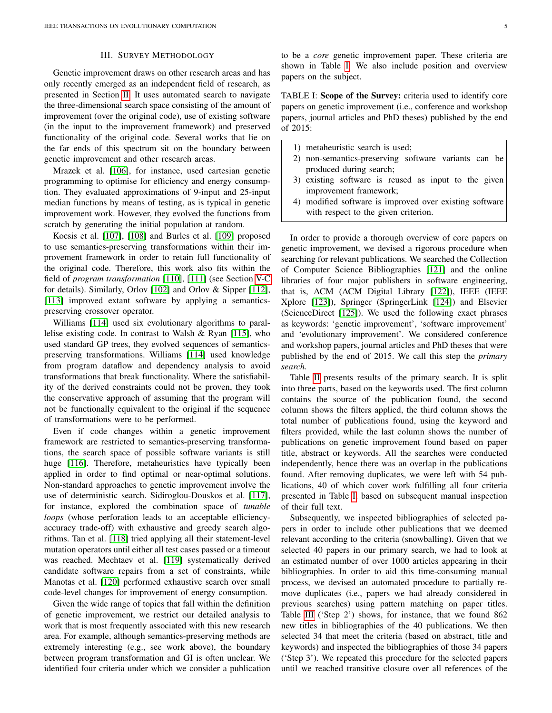## III. SURVEY METHODOLOGY

<span id="page-4-0"></span>Genetic improvement draws on other research areas and has only recently emerged as an independent field of research, as presented in Section [II.](#page-0-1) It uses automated search to navigate the three-dimensional search space consisting of the amount of improvement (over the original code), use of existing software (in the input to the improvement framework) and preserved functionality of the original code. Several works that lie on the far ends of this spectrum sit on the boundary between genetic improvement and other research areas.

Mrazek et al. [\[106\]](#page-14-44), for instance, used cartesian genetic programming to optimise for efficiency and energy consumption. They evaluated approximations of 9-input and 25-input median functions by means of testing, as is typical in genetic improvement work. However, they evolved the functions from scratch by generating the initial population at random.

Kocsis et al. [\[107\]](#page-14-45), [\[108\]](#page-15-0) and Burles et al. [\[109\]](#page-15-1) proposed to use semantics-preserving transformations within their improvement framework in order to retain full functionality of the original code. Therefore, this work also fits within the field of *program transformation* [\[110\]](#page-15-2), [\[111\]](#page-15-3) (see Section [V-C](#page-11-0) for details). Similarly, Orlov [\[102\]](#page-14-40) and Orlov & Sipper [\[112\]](#page-15-4), [\[113\]](#page-15-5) improved extant software by applying a semanticspreserving crossover operator.

Williams [\[114\]](#page-15-6) used six evolutionary algorithms to parallelise existing code. In contrast to Walsh & Ryan [\[115\]](#page-15-7), who used standard GP trees, they evolved sequences of semanticspreserving transformations. Williams [\[114\]](#page-15-6) used knowledge from program dataflow and dependency analysis to avoid transformations that break functionality. Where the satisfiability of the derived constraints could not be proven, they took the conservative approach of assuming that the program will not be functionally equivalent to the original if the sequence of transformations were to be performed.

Even if code changes within a genetic improvement framework are restricted to semantics-preserving transformations, the search space of possible software variants is still huge [\[116\]](#page-15-8). Therefore, metaheuristics have typically been applied in order to find optimal or near-optimal solutions. Non-standard approaches to genetic improvement involve the use of deterministic search. Sidiroglou-Douskos et al. [\[117\]](#page-15-9), for instance, explored the combination space of *tunable loops* (whose perforation leads to an acceptable efficiencyaccuracy trade-off) with exhaustive and greedy search algorithms. Tan et al. [\[118\]](#page-15-10) tried applying all their statement-level mutation operators until either all test cases passed or a timeout was reached. Mechtaev et al. [\[119\]](#page-15-11) systematically derived candidate software repairs from a set of constraints, while Manotas et al. [\[120\]](#page-15-12) performed exhaustive search over small code-level changes for improvement of energy consumption.

Given the wide range of topics that fall within the definition of genetic improvement, we restrict our detailed analysis to work that is most frequently associated with this new research area. For example, although semantics-preserving methods are extremely interesting (e.g., see work above), the boundary between program transformation and GI is often unclear. We identified four criteria under which we consider a publication to be a *core* genetic improvement paper. These criteria are shown in Table [I.](#page-4-1) We also include position and overview papers on the subject.

<span id="page-4-1"></span>TABLE I: Scope of the Survey: criteria used to identify core papers on genetic improvement (i.e., conference and workshop papers, journal articles and PhD theses) published by the end of 2015:

- 1) metaheuristic search is used;
- 2) non-semantics-preserving software variants can be produced during search;
- 3) existing software is reused as input to the given improvement framework;
- 4) modified software is improved over existing software with respect to the given criterion.

In order to provide a thorough overview of core papers on genetic improvement, we devised a rigorous procedure when searching for relevant publications. We searched the Collection of Computer Science Bibliographies [\[121\]](#page-15-13) and the online libraries of four major publishers in software engineering, that is, ACM (ACM Digital Library [\[122\]](#page-15-14)), IEEE (IEEE Xplore [\[123\]](#page-15-15)), Springer (SpringerLink [\[124\]](#page-15-16)) and Elsevier (ScienceDirect [\[125\]](#page-15-17)). We used the following exact phrases as keywords: 'genetic improvement', 'software improvement' and 'evolutionary improvement'. We considered conference and workshop papers, journal articles and PhD theses that were published by the end of 2015. We call this step the *primary search*.

Table [II](#page-5-1) presents results of the primary search. It is split into three parts, based on the keywords used. The first column contains the source of the publication found, the second column shows the filters applied, the third column shows the total number of publications found, using the keyword and filters provided, while the last column shows the number of publications on genetic improvement found based on paper title, abstract or keywords. All the searches were conducted independently, hence there was an overlap in the publications found. After removing duplicates, we were left with 54 publications, 40 of which cover work fulfilling all four criteria presented in Table [I,](#page-4-1) based on subsequent manual inspection of their full text.

Subsequently, we inspected bibliographies of selected papers in order to include other publications that we deemed relevant according to the criteria (snowballing). Given that we selected 40 papers in our primary search, we had to look at an estimated number of over 1000 articles appearing in their bibliographies. In order to aid this time-consuming manual process, we devised an automated procedure to partially remove duplicates (i.e., papers we had already considered in previous searches) using pattern matching on paper titles. Table [III](#page-5-2) ('Step 2') shows, for instance, that we found 862 new titles in bibliographies of the 40 publications. We then selected 34 that meet the criteria (based on abstract, title and keywords) and inspected the bibliographies of those 34 papers ('Step 3'). We repeated this procedure for the selected papers until we reached transitive closure over all references of the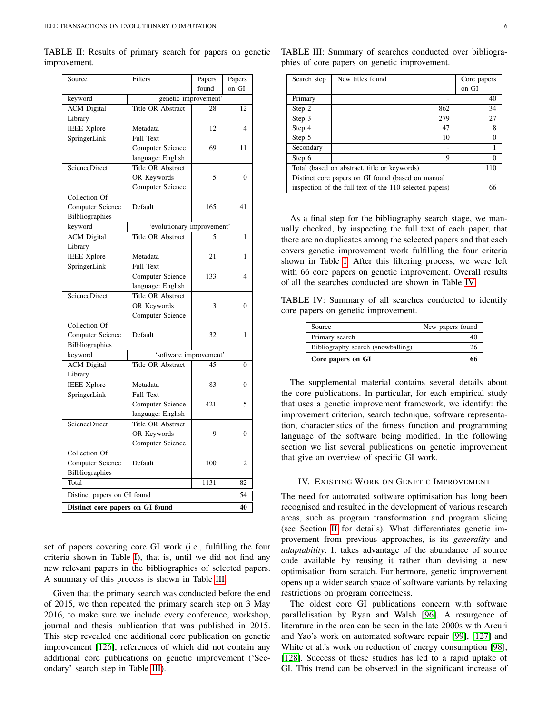<span id="page-5-1"></span>

|              |  | TABLE II: Results of primary search for papers on genetic |  |  |  |
|--------------|--|-----------------------------------------------------------|--|--|--|
| improvement. |  |                                                           |  |  |  |

| Source                           | Filters                    | Papers | Papers         |  |
|----------------------------------|----------------------------|--------|----------------|--|
|                                  |                            | found  | on GI          |  |
| keyword                          | 'genetic improvement'      |        |                |  |
| <b>ACM</b> Digital               | Title OR Abstract          | 28     | 12             |  |
| Library                          |                            |        |                |  |
| <b>IEEE Xplore</b>               | Metadata                   | 12     | 4              |  |
| SpringerLink                     | <b>Full Text</b>           |        |                |  |
|                                  | Computer Science           | 69     | 11             |  |
|                                  | language: English          |        |                |  |
| ScienceDirect                    | Title OR Abstract          |        |                |  |
|                                  | OR Keywords                | 5      | $\Omega$       |  |
|                                  | Computer Science           |        |                |  |
| Collection Of                    |                            |        |                |  |
| Computer Science                 | Default                    | 165    | 41             |  |
| Bilbliographies                  |                            |        |                |  |
| keyword                          | 'evolutionary improvement' |        |                |  |
| <b>ACM</b> Digital               | Title OR Abstract          | 5      | 1              |  |
| Library                          |                            |        |                |  |
| <b>IEEE</b> Xplore               | Metadata                   | 21     | 1              |  |
| SpringerLink                     | Full Text                  |        |                |  |
|                                  | Computer Science           | 133    | 4              |  |
|                                  | language: English          |        |                |  |
| <b>ScienceDirect</b>             | Title OR Abstract          |        |                |  |
|                                  | OR Keywords                | 3      | $\mathbf{0}$   |  |
|                                  | Computer Science           |        |                |  |
| Collection Of                    |                            |        |                |  |
| Computer Science                 | Default                    | 32     | 1              |  |
| <b>Bilbliographies</b>           |                            |        |                |  |
| keyword                          | 'software improvement'     |        |                |  |
| <b>ACM</b> Digital               | Title OR Abstract          | 45     | $\mathbf{0}$   |  |
| Library                          |                            |        |                |  |
| <b>IEEE Xplore</b>               | Metadata                   | 83     | 0              |  |
| SpringerLink                     | <b>Full Text</b>           |        |                |  |
|                                  | Computer Science           | 421    | 5              |  |
|                                  | language: English          |        |                |  |
| ScienceDirect                    | Title OR Abstract          |        |                |  |
|                                  | OR Keywords                | 9      | $\theta$       |  |
|                                  | Computer Science           |        |                |  |
| Collection Of                    |                            |        |                |  |
| Computer Science                 | Default                    | 100    | $\overline{c}$ |  |
| Bilbliographies                  |                            |        |                |  |
| Total                            |                            | 1131   | 82             |  |
| Distinct papers on GI found      |                            |        |                |  |
|                                  | 40                         |        |                |  |
| Distinct core papers on GI found |                            |        |                |  |

set of papers covering core GI work (i.e., fulfilling the four criteria shown in Table [I\)](#page-4-1), that is, until we did not find any new relevant papers in the bibliographies of selected papers. A summary of this process is shown in Table [III.](#page-5-2)

Given that the primary search was conducted before the end of 2015, we then repeated the primary search step on 3 May 2016, to make sure we include every conference, workshop, journal and thesis publication that was published in 2015. This step revealed one additional core publication on genetic improvement [\[126\]](#page-15-18), references of which did not contain any additional core publications on genetic improvement ('Secondary' search step in Table [III\)](#page-5-2).

| Search step                                             | New titles found | Core papers |  |  |
|---------------------------------------------------------|------------------|-------------|--|--|
|                                                         |                  | on GI       |  |  |
| Primary                                                 |                  | 40          |  |  |
| Step 2                                                  | 862              | 34          |  |  |
| Step 3                                                  | 279              | 27          |  |  |
| Step 4                                                  | 47               | 8           |  |  |
| Step 5                                                  | 10               |             |  |  |
| Secondary                                               |                  |             |  |  |
| Step 6                                                  | 9                | 0           |  |  |
| Total (based on abstract, title or keywords)            | 110              |             |  |  |
| Distinct core papers on GI found (based on manual       |                  |             |  |  |
| inspection of the full text of the 110 selected papers) |                  |             |  |  |

<span id="page-5-2"></span>TABLE III: Summary of searches conducted over bibliographies of core papers on genetic improvement.

As a final step for the bibliography search stage, we manually checked, by inspecting the full text of each paper, that there are no duplicates among the selected papers and that each covers genetic improvement work fulfilling the four criteria shown in Table [I.](#page-4-1) After this filtering process, we were left with 66 core papers on genetic improvement. Overall results of all the searches conducted are shown in Table [IV.](#page-5-3)

<span id="page-5-3"></span>TABLE IV: Summary of all searches conducted to identify core papers on genetic improvement.

| Source                            | New papers found |
|-----------------------------------|------------------|
| Primary search                    |                  |
| Bibliography search (snowballing) |                  |
| Core papers on GI                 |                  |

The supplemental material contains several details about the core publications. In particular, for each empirical study that uses a genetic improvement framework, we identify: the improvement criterion, search technique, software representation, characteristics of the fitness function and programming language of the software being modified. In the following section we list several publications on genetic improvement that give an overview of specific GI work.

#### <span id="page-5-0"></span>IV. EXISTING WORK ON GENETIC IMPROVEMENT

The need for automated software optimisation has long been recognised and resulted in the development of various research areas, such as program transformation and program slicing (see Section [II](#page-0-1) for details). What differentiates genetic improvement from previous approaches, is its *generality* and *adaptability*. It takes advantage of the abundance of source code available by reusing it rather than devising a new optimisation from scratch. Furthermore, genetic improvement opens up a wider search space of software variants by relaxing restrictions on program correctness.

The oldest core GI publications concern with software parallelisation by Ryan and Walsh [\[96\]](#page-14-34). A resurgence of literature in the area can be seen in the late 2000s with Arcuri and Yao's work on automated software repair [\[99\]](#page-14-37), [\[127\]](#page-15-19) and White et al.'s work on reduction of energy consumption [\[98\]](#page-14-36), [\[128\]](#page-15-20). Success of these studies has led to a rapid uptake of GI. This trend can be observed in the significant increase of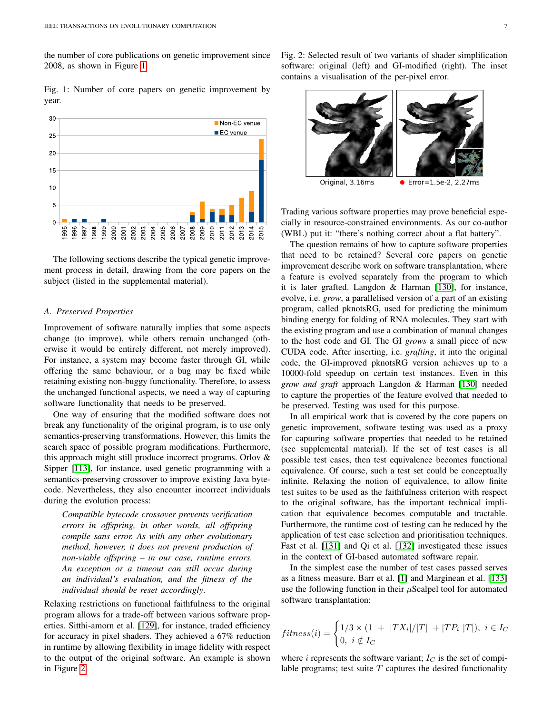the number of core publications on genetic improvement since 2008, as shown in Figure [1.](#page-6-0)

<span id="page-6-0"></span>Fig. 1: Number of core papers on genetic improvement by year.



The following sections describe the typical genetic improvement process in detail, drawing from the core papers on the subject (listed in the supplemental material).

## *A. Preserved Properties*

Improvement of software naturally implies that some aspects change (to improve), while others remain unchanged (otherwise it would be entirely different, not merely improved). For instance, a system may become faster through GI, while offering the same behaviour, or a bug may be fixed while retaining existing non-buggy functionality. Therefore, to assess the unchanged functional aspects, we need a way of capturing software functionality that needs to be preserved.

One way of ensuring that the modified software does not break any functionality of the original program, is to use only semantics-preserving transformations. However, this limits the search space of possible program modifications. Furthermore, this approach might still produce incorrect programs. Orlov & Sipper [\[113\]](#page-15-5), for instance, used genetic programming with a semantics-preserving crossover to improve existing Java bytecode. Nevertheless, they also encounter incorrect individuals during the evolution process:

*Compatible bytecode crossover prevents verification errors in offspring, in other words, all offspring compile sans error. As with any other evolutionary method, however, it does not prevent production of non-viable offspring – in our case, runtime errors. An exception or a timeout can still occur during an individual's evaluation, and the fitness of the individual should be reset accordingly*.

Relaxing restrictions on functional faithfulness to the original program allows for a trade-off between various software properties. Sitthi-amorn et al. [\[129\]](#page-15-21), for instance, traded efficiency for accuracy in pixel shaders. They achieved a 67% reduction in runtime by allowing flexibility in image fidelity with respect to the output of the original software. An example is shown in Figure [2.](#page-6-1)

<span id="page-6-1"></span>Fig. 2: Selected result of two variants of shader simplification software: original (left) and GI-modified (right). The inset contains a visualisation of the per-pixel error.



Trading various software properties may prove beneficial especially in resource-constrained environments. As our co-author (WBL) put it: "there's nothing correct about a flat battery".

The question remains of how to capture software properties that need to be retained? Several core papers on genetic improvement describe work on software transplantation, where a feature is evolved separately from the program to which it is later grafted. Langdon & Harman [\[130\]](#page-15-22), for instance, evolve, i.e. *grow*, a parallelised version of a part of an existing program, called pknotsRG, used for predicting the minimum binding energy for folding of RNA molecules. They start with the existing program and use a combination of manual changes to the host code and GI. The GI *grows* a small piece of new CUDA code. After inserting, i.e. *grafting*, it into the original code, the GI-improved pknotsRG version achieves up to a 10000-fold speedup on certain test instances. Even in this *grow and graft* approach Langdon & Harman [\[130\]](#page-15-22) needed to capture the properties of the feature evolved that needed to be preserved. Testing was used for this purpose.

In all empirical work that is covered by the core papers on genetic improvement, software testing was used as a proxy for capturing software properties that needed to be retained (see supplemental material). If the set of test cases is all possible test cases, then test equivalence becomes functional equivalence. Of course, such a test set could be conceptually infinite. Relaxing the notion of equivalence, to allow finite test suites to be used as the faithfulness criterion with respect to the original software, has the important technical implication that equivalence becomes computable and tractable. Furthermore, the runtime cost of testing can be reduced by the application of test case selection and prioritisation techniques. Fast et al. [\[131\]](#page-15-23) and Qi et al. [\[132\]](#page-15-24) investigated these issues in the context of GI-based automated software repair.

In the simplest case the number of test cases passed serves as a fitness measure. Barr et al. [\[1\]](#page-12-0) and Marginean et al. [\[133\]](#page-15-25) use the following function in their  $\mu$ Scalpel tool for automated software transplantation:

$$
fitness(i) = \begin{cases} 1/3 \times (1 + |TX_i|/|T| + |TP_i|T|), \ i \in I_C \\ 0, \ i \notin I_C \end{cases}
$$

where i represents the software variant;  $I_C$  is the set of compilable programs; test suite  $T$  captures the desired functionality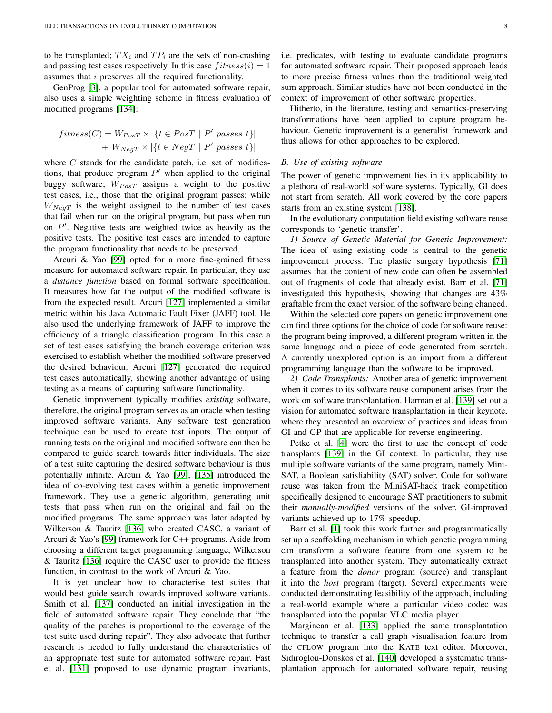to be transplanted;  $TX_i$  and  $TP_i$  are the sets of non-crashing and passing test cases respectively. In this case  $fitness(i) = 1$ assumes that i preserves all the required functionality.

GenProg [\[3\]](#page-13-1), a popular tool for automated software repair, also uses a simple weighting scheme in fitness evaluation of modified programs [\[134\]](#page-15-26):

$$
fitness(C) = W_{PosT} \times |\{t \in PosT \mid P' \text{ passes } t\}|
$$

$$
+ W_{NegT} \times |\{t \in NegT \mid P' \text{ passes } t\}|
$$

where  $C$  stands for the candidate patch, i.e. set of modifications, that produce program  $P'$  when applied to the original buggy software;  $W_{PosT}$  assigns a weight to the positive test cases, i.e., those that the original program passes; while  $W_{NeqT}$  is the weight assigned to the number of test cases that fail when run on the original program, but pass when run on  $P'$ . Negative tests are weighted twice as heavily as the positive tests. The positive test cases are intended to capture the program functionality that needs to be preserved.

Arcuri & Yao [\[99\]](#page-14-37) opted for a more fine-grained fitness measure for automated software repair. In particular, they use a *distance function* based on formal software specification. It measures how far the output of the modified software is from the expected result. Arcuri [\[127\]](#page-15-19) implemented a similar metric within his Java Automatic Fault Fixer (JAFF) tool. He also used the underlying framework of JAFF to improve the efficiency of a triangle classification program. In this case a set of test cases satisfying the branch coverage criterion was exercised to establish whether the modified software preserved the desired behaviour. Arcuri [\[127\]](#page-15-19) generated the required test cases automatically, showing another advantage of using testing as a means of capturing software functionality.

Genetic improvement typically modifies *existing* software, therefore, the original program serves as an oracle when testing improved software variants. Any software test generation technique can be used to create test inputs. The output of running tests on the original and modified software can then be compared to guide search towards fitter individuals. The size of a test suite capturing the desired software behaviour is thus potentially infinite. Arcuri & Yao [\[99\]](#page-14-37), [\[135\]](#page-15-27) introduced the idea of co-evolving test cases within a genetic improvement framework. They use a genetic algorithm, generating unit tests that pass when run on the original and fail on the modified programs. The same approach was later adapted by Wilkerson & Tauritz [\[136\]](#page-15-28) who created CASC, a variant of Arcuri & Yao's [\[99\]](#page-14-37) framework for C++ programs. Aside from choosing a different target programming language, Wilkerson & Tauritz [\[136\]](#page-15-28) require the CASC user to provide the fitness function, in contrast to the work of Arcuri & Yao.

It is yet unclear how to characterise test suites that would best guide search towards improved software variants. Smith et al. [\[137\]](#page-15-29) conducted an initial investigation in the field of automated software repair. They conclude that "the quality of the patches is proportional to the coverage of the test suite used during repair". They also advocate that further research is needed to fully understand the characteristics of an appropriate test suite for automated software repair. Fast et al. [\[131\]](#page-15-23) proposed to use dynamic program invariants,

i.e. predicates, with testing to evaluate candidate programs for automated software repair. Their proposed approach leads to more precise fitness values than the traditional weighted sum approach. Similar studies have not been conducted in the context of improvement of other software properties.

Hitherto, in the literature, testing and semantics-preserving transformations have been applied to capture program behaviour. Genetic improvement is a generalist framework and thus allows for other approaches to be explored.

# *B. Use of existing software*

The power of genetic improvement lies in its applicability to a plethora of real-world software systems. Typically, GI does not start from scratch. All work covered by the core papers starts from an existing system [\[138\]](#page-15-30).

In the evolutionary computation field existing software reuse corresponds to 'genetic transfer'.

*1) Source of Genetic Material for Genetic Improvement:* The idea of using existing code is central to the genetic improvement process. The plastic surgery hypothesis [\[71\]](#page-14-9) assumes that the content of new code can often be assembled out of fragments of code that already exist. Barr et al. [\[71\]](#page-14-9) investigated this hypothesis, showing that changes are 43% graftable from the exact version of the software being changed.

Within the selected core papers on genetic improvement one can find three options for the choice of code for software reuse: the program being improved, a different program written in the same language and a piece of code generated from scratch. A currently unexplored option is an import from a different programming language than the software to be improved.

*2) Code Transplants:* Another area of genetic improvement when it comes to its software reuse component arises from the work on software transplantation. Harman et al. [\[139\]](#page-15-31) set out a vision for automated software transplantation in their keynote, where they presented an overview of practices and ideas from GI and GP that are applicable for reverse engineering.

Petke et al. [\[4\]](#page-13-2) were the first to use the concept of code transplants [\[139\]](#page-15-31) in the GI context. In particular, they use multiple software variants of the same program, namely Mini-SAT, a Boolean satisfiability (SAT) solver. Code for software reuse was taken from the MiniSAT-hack track competition specifically designed to encourage SAT practitioners to submit their *manually-modified* versions of the solver. GI-improved variants achieved up to 17% speedup.

Barr et al. [\[1\]](#page-12-0) took this work further and programmatically set up a scaffolding mechanism in which genetic programming can transform a software feature from one system to be transplanted into another system. They automatically extract a feature from the *donor* program (source) and transplant it into the *host* program (target). Several experiments were conducted demonstrating feasibility of the approach, including a real-world example where a particular video codec was transplanted into the popular VLC media player.

Marginean et al. [\[133\]](#page-15-25) applied the same transplantation technique to transfer a call graph visualisation feature from the CFLOW program into the KATE text editor. Moreover, Sidiroglou-Douskos et al. [\[140\]](#page-15-32) developed a systematic transplantation approach for automated software repair, reusing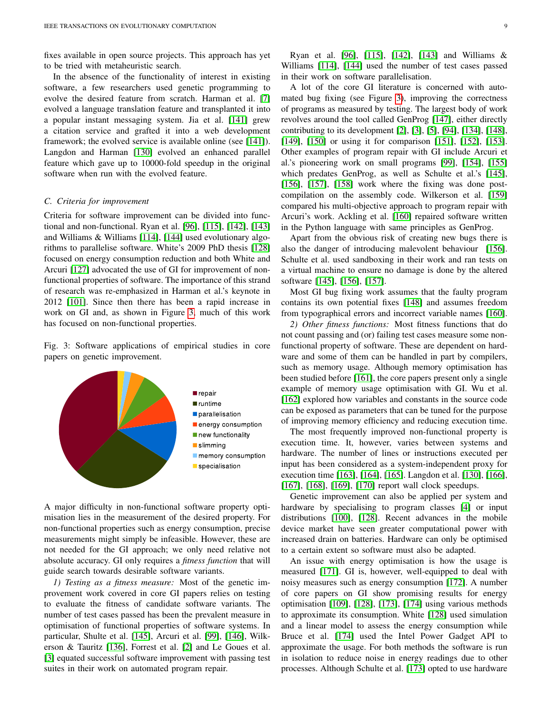fixes available in open source projects. This approach has yet to be tried with metaheuristic search.

In the absence of the functionality of interest in existing software, a few researchers used genetic programming to evolve the desired feature from scratch. Harman et al. [\[7\]](#page-13-5) evolved a language translation feature and transplanted it into a popular instant messaging system. Jia et al. [\[141\]](#page-15-33) grew a citation service and grafted it into a web development framework; the evolved service is available online (see [\[141\]](#page-15-33)). Langdon and Harman [\[130\]](#page-15-22) evolved an enhanced parallel feature which gave up to 10000-fold speedup in the original software when run with the evolved feature.

#### *C. Criteria for improvement*

Criteria for software improvement can be divided into functional and non-functional. Ryan et al. [\[96\]](#page-14-34), [\[115\]](#page-15-7), [\[142\]](#page-15-34), [\[143\]](#page-15-35) and Williams & Williams [\[114\]](#page-15-6), [\[144\]](#page-15-36) used evolutionary algorithms to parallelise software. White's 2009 PhD thesis [\[128\]](#page-15-20) focused on energy consumption reduction and both White and Arcuri [\[127\]](#page-15-19) advocated the use of GI for improvement of nonfunctional properties of software. The importance of this strand of research was re-emphasized in Harman et al.'s keynote in 2012 [\[101\]](#page-14-39). Since then there has been a rapid increase in work on GI and, as shown in Figure [3,](#page-8-0) much of this work has focused on non-functional properties.

<span id="page-8-0"></span>Fig. 3: Software applications of empirical studies in core papers on genetic improvement.



A major difficulty in non-functional software property optimisation lies in the measurement of the desired property. For non-functional properties such as energy consumption, precise measurements might simply be infeasible. However, these are not needed for the GI approach; we only need relative not absolute accuracy. GI only requires a *fitness function* that will guide search towards desirable software variants.

*1) Testing as a fitness measure:* Most of the genetic improvement work covered in core GI papers relies on testing to evaluate the fitness of candidate software variants. The number of test cases passed has been the prevalent measure in optimisation of functional properties of software systems. In particular, Shulte et al. [\[145\]](#page-15-37), Arcuri et al. [\[99\]](#page-14-37), [\[146\]](#page-15-38), Wilkerson & Tauritz [\[136\]](#page-15-28), Forrest et al. [\[2\]](#page-13-0) and Le Goues et al. [\[3\]](#page-13-1) equated successful software improvement with passing test suites in their work on automated program repair.

Ryan et al. [\[96\]](#page-14-34), [\[115\]](#page-15-7), [\[142\]](#page-15-34), [\[143\]](#page-15-35) and Williams & Williams [\[114\]](#page-15-6), [\[144\]](#page-15-36) used the number of test cases passed in their work on software parallelisation.

A lot of the core GI literature is concerned with automated bug fixing (see Figure [3\)](#page-8-0), improving the correctness of programs as measured by testing. The largest body of work revolves around the tool called GenProg [\[147\]](#page-15-39), either directly contributing to its development [\[2\]](#page-13-0), [\[3\]](#page-13-1), [\[5\]](#page-13-3), [\[94\]](#page-14-32), [\[134\]](#page-15-26), [\[148\]](#page-15-40), [\[149\]](#page-15-41), [\[150\]](#page-15-42) or using it for comparison [\[151\]](#page-15-43), [\[152\]](#page-15-44), [\[153\]](#page-15-45). Other examples of program repair with GI include Arcuri et al.'s pioneering work on small programs [\[99\]](#page-14-37), [\[154\]](#page-15-46), [\[155\]](#page-15-47) which predates GenProg, as well as Schulte et al.'s [\[145\]](#page-15-37),  $[156]$ ,  $[157]$ ,  $[158]$  work where the fixing was done postcompilation on the assembly code. Wilkerson et al. [\[159\]](#page-16-0) compared his multi-objective approach to program repair with Arcuri's work. Ackling et al. [\[160\]](#page-16-1) repaired software written in the Python language with same principles as GenProg.

Apart from the obvious risk of creating new bugs there is also the danger of introducing malevolent behaviour [\[156\]](#page-15-48). Schulte et al. used sandboxing in their work and ran tests on a virtual machine to ensure no damage is done by the altered software [\[145\]](#page-15-37), [\[156\]](#page-15-48), [\[157\]](#page-15-49).

Most GI bug fixing work assumes that the faulty program contains its own potential fixes [\[148\]](#page-15-40) and assumes freedom from typographical errors and incorrect variable names [\[160\]](#page-16-1).

*2) Other fitness functions:* Most fitness functions that do not count passing and (or) failing test cases measure some nonfunctional property of software. These are dependent on hardware and some of them can be handled in part by compilers, such as memory usage. Although memory optimisation has been studied before [\[161\]](#page-16-2), the core papers present only a single example of memory usage optimisation with GI. Wu et al. [\[162\]](#page-16-3) explored how variables and constants in the source code can be exposed as parameters that can be tuned for the purpose of improving memory efficiency and reducing execution time.

The most frequently improved non-functional property is execution time. It, however, varies between systems and hardware. The number of lines or instructions executed per input has been considered as a system-independent proxy for execution time [\[163\]](#page-16-4), [\[164\]](#page-16-5), [\[165\]](#page-16-6). Langdon et al. [\[130\]](#page-15-22), [\[166\]](#page-16-7), [\[167\]](#page-16-8), [\[168\]](#page-16-9), [\[169\]](#page-16-10), [\[170\]](#page-16-11) report wall clock speedups.

Genetic improvement can also be applied per system and hardware by specialising to program classes [\[4\]](#page-13-2) or input distributions [\[100\]](#page-14-38), [\[128\]](#page-15-20). Recent advances in the mobile device market have seen greater computational power with increased drain on batteries. Hardware can only be optimised to a certain extent so software must also be adapted.

An issue with energy optimisation is how the usage is measured [\[171\]](#page-16-12). GI is, however, well-equipped to deal with noisy measures such as energy consumption [\[172\]](#page-16-13). A number of core papers on GI show promising results for energy optimisation [\[109\]](#page-15-1), [\[128\]](#page-15-20), [\[173\]](#page-16-14), [\[174\]](#page-16-15) using various methods to approximate its consumption. White [\[128\]](#page-15-20) used simulation and a linear model to assess the energy consumption while Bruce et al. [\[174\]](#page-16-15) used the Intel Power Gadget API to approximate the usage. For both methods the software is run in isolation to reduce noise in energy readings due to other processes. Although Schulte et al. [\[173\]](#page-16-14) opted to use hardware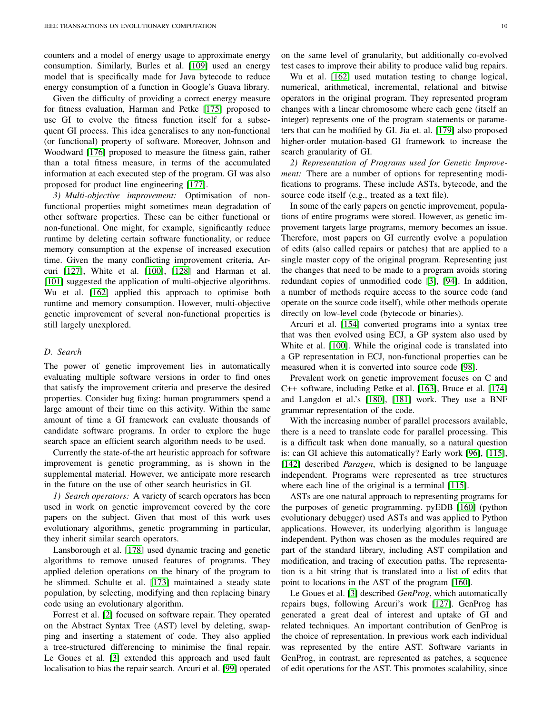counters and a model of energy usage to approximate energy consumption. Similarly, Burles et al. [\[109\]](#page-15-1) used an energy model that is specifically made for Java bytecode to reduce energy consumption of a function in Google's Guava library.

Given the difficulty of providing a correct energy measure for fitness evaluation, Harman and Petke [\[175\]](#page-16-16) proposed to use GI to evolve the fitness function itself for a subsequent GI process. This idea generalises to any non-functional (or functional) property of software. Moreover, Johnson and Woodward [\[176\]](#page-16-17) proposed to measure the fitness gain, rather than a total fitness measure, in terms of the accumulated information at each executed step of the program. GI was also proposed for product line engineering [\[177\]](#page-16-18).

*3) Multi-objective improvement:* Optimisation of nonfunctional properties might sometimes mean degradation of other software properties. These can be either functional or non-functional. One might, for example, significantly reduce runtime by deleting certain software functionality, or reduce memory consumption at the expense of increased execution time. Given the many conflicting improvement criteria, Arcuri [\[127\]](#page-15-19), White et al. [\[100\]](#page-14-38), [\[128\]](#page-15-20) and Harman et al. [\[101\]](#page-14-39) suggested the application of multi-objective algorithms. Wu et al. [\[162\]](#page-16-3) applied this approach to optimise both runtime and memory consumption. However, multi-objective genetic improvement of several non-functional properties is still largely unexplored.

## *D. Search*

The power of genetic improvement lies in automatically evaluating multiple software versions in order to find ones that satisfy the improvement criteria and preserve the desired properties. Consider bug fixing: human programmers spend a large amount of their time on this activity. Within the same amount of time a GI framework can evaluate thousands of candidate software programs. In order to explore the huge search space an efficient search algorithm needs to be used.

Currently the state-of-the art heuristic approach for software improvement is genetic programming, as is shown in the supplemental material. However, we anticipate more research in the future on the use of other search heuristics in GI.

*1) Search operators:* A variety of search operators has been used in work on genetic improvement covered by the core papers on the subject. Given that most of this work uses evolutionary algorithms, genetic programming in particular, they inherit similar search operators.

Lansborough et al. [\[178\]](#page-16-19) used dynamic tracing and genetic algorithms to remove unused features of programs. They applied deletion operations on the binary of the program to be slimmed. Schulte et al. [\[173\]](#page-16-14) maintained a steady state population, by selecting, modifying and then replacing binary code using an evolutionary algorithm.

Forrest et al. [\[2\]](#page-13-0) focused on software repair. They operated on the Abstract Syntax Tree (AST) level by deleting, swapping and inserting a statement of code. They also applied a tree-structured differencing to minimise the final repair. Le Goues et al. [\[3\]](#page-13-1) extended this approach and used fault localisation to bias the repair search. Arcuri et al. [\[99\]](#page-14-37) operated on the same level of granularity, but additionally co-evolved test cases to improve their ability to produce valid bug repairs.

Wu et al. [\[162\]](#page-16-3) used mutation testing to change logical, numerical, arithmetical, incremental, relational and bitwise operators in the original program. They represented program changes with a linear chromosome where each gene (itself an integer) represents one of the program statements or parameters that can be modified by GI. Jia et. al. [\[179\]](#page-16-20) also proposed higher-order mutation-based GI framework to increase the search granularity of GI.

*2) Representation of Programs used for Genetic Improvement:* There are a number of options for representing modifications to programs. These include ASTs, bytecode, and the source code itself (e.g., treated as a text file).

In some of the early papers on genetic improvement, populations of entire programs were stored. However, as genetic improvement targets large programs, memory becomes an issue. Therefore, most papers on GI currently evolve a population of edits (also called repairs or patches) that are applied to a single master copy of the original program. Representing just the changes that need to be made to a program avoids storing redundant copies of unmodified code [\[3\]](#page-13-1), [\[94\]](#page-14-32). In addition, a number of methods require access to the source code (and operate on the source code itself), while other methods operate directly on low-level code (bytecode or binaries).

Arcuri et al. [\[154\]](#page-15-46) converted programs into a syntax tree that was then evolved using ECJ, a GP system also used by White et al. [\[100\]](#page-14-38). While the original code is translated into a GP representation in ECJ, non-functional properties can be measured when it is converted into source code [\[98\]](#page-14-36).

Prevalent work on genetic improvement focuses on C and C++ software, including Petke et al. [\[163\]](#page-16-4), Bruce et al. [\[174\]](#page-16-15) and Langdon et al.'s [\[180\]](#page-16-21), [\[181\]](#page-16-22) work. They use a BNF grammar representation of the code.

With the increasing number of parallel processors available, there is a need to translate code for parallel processing. This is a difficult task when done manually, so a natural question is: can GI achieve this automatically? Early work [\[96\]](#page-14-34), [\[115\]](#page-15-7), [\[142\]](#page-15-34) described *Paragen*, which is designed to be language independent. Programs were represented as tree structures where each line of the original is a terminal [\[115\]](#page-15-7).

ASTs are one natural approach to representing programs for the purposes of genetic programming. pyEDB [\[160\]](#page-16-1) (python evolutionary debugger) used ASTs and was applied to Python applications. However, its underlying algorithm is language independent. Python was chosen as the modules required are part of the standard library, including AST compilation and modification, and tracing of execution paths. The representation is a bit string that is translated into a list of edits that point to locations in the AST of the program [\[160\]](#page-16-1).

Le Goues et al. [\[3\]](#page-13-1) described *GenProg*, which automatically repairs bugs, following Arcuri's work [\[127\]](#page-15-19). GenProg has generated a great deal of interest and uptake of GI and related techniques. An important contribution of GenProg is the choice of representation. In previous work each individual was represented by the entire AST. Software variants in GenProg, in contrast, are represented as patches, a sequence of edit operations for the AST. This promotes scalability, since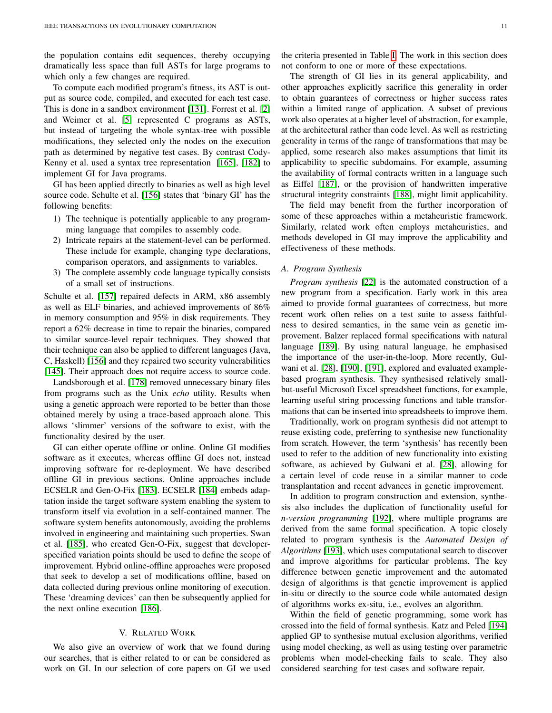the population contains edit sequences, thereby occupying dramatically less space than full ASTs for large programs to which only a few changes are required.

To compute each modified program's fitness, its AST is output as source code, compiled, and executed for each test case. This is done in a sandbox environment [\[131\]](#page-15-23). Forrest et al. [\[2\]](#page-13-0) and Weimer et al. [\[5\]](#page-13-3) represented C programs as ASTs, but instead of targeting the whole syntax-tree with possible modifications, they selected only the nodes on the execution path as determined by negative test cases. By contrast Cody-Kenny et al. used a syntax tree representation [\[165\]](#page-16-6), [\[182\]](#page-16-23) to implement GI for Java programs.

GI has been applied directly to binaries as well as high level source code. Schulte et al. [\[156\]](#page-15-48) states that 'binary GI' has the following benefits:

- 1) The technique is potentially applicable to any programming language that compiles to assembly code.
- 2) Intricate repairs at the statement-level can be performed. These include for example, changing type declarations, comparison operators, and assignments to variables.
- 3) The complete assembly code language typically consists of a small set of instructions.

Schulte et al. [\[157\]](#page-15-49) repaired defects in ARM, x86 assembly as well as ELF binaries, and achieved improvements of 86% in memory consumption and 95% in disk requirements. They report a 62% decrease in time to repair the binaries, compared to similar source-level repair techniques. They showed that their technique can also be applied to different languages (Java, C, Haskell) [\[156\]](#page-15-48) and they repaired two security vulnerabilities [\[145\]](#page-15-37). Their approach does not require access to source code.

Landsborough et al. [\[178\]](#page-16-19) removed unnecessary binary files from programs such as the Unix *echo* utility. Results when using a genetic approach were reported to be better than those obtained merely by using a trace-based approach alone. This allows 'slimmer' versions of the software to exist, with the functionality desired by the user.

GI can either operate offline or online. Online GI modifies software as it executes, whereas offline GI does not, instead improving software for re-deployment. We have described offline GI in previous sections. Online approaches include ECSELR and Gen-O-Fix [\[183\]](#page-16-24). ECSELR [\[184\]](#page-16-25) embeds adaptation inside the target software system enabling the system to transform itself via evolution in a self-contained manner. The software system benefits autonomously, avoiding the problems involved in engineering and maintaining such properties. Swan et al. [\[185\]](#page-16-26), who created Gen-O-Fix, suggest that developerspecified variation points should be used to define the scope of improvement. Hybrid online-offline approaches were proposed that seek to develop a set of modifications offline, based on data collected during previous online monitoring of execution. These 'dreaming devices' can then be subsequently applied for the next online execution [\[186\]](#page-16-27).

#### V. RELATED WORK

<span id="page-10-0"></span>We also give an overview of work that we found during our searches, that is either related to or can be considered as work on GI. In our selection of core papers on GI we used the criteria presented in Table [I.](#page-4-1) The work in this section does not conform to one or more of these expectations.

The strength of GI lies in its general applicability, and other approaches explicitly sacrifice this generality in order to obtain guarantees of correctness or higher success rates within a limited range of application. A subset of previous work also operates at a higher level of abstraction, for example, at the architectural rather than code level. As well as restricting generality in terms of the range of transformations that may be applied, some research also makes assumptions that limit its applicability to specific subdomains. For example, assuming the availability of formal contracts written in a language such as Eiffel [\[187\]](#page-16-28), or the provision of handwritten imperative structural integrity constraints [\[188\]](#page-16-29), might limit applicability.

The field may benefit from the further incorporation of some of these approaches within a metaheuristic framework. Similarly, related work often employs metaheuristics, and methods developed in GI may improve the applicability and effectiveness of these methods.

## *A. Program Synthesis*

*Program synthesis* [\[22\]](#page-13-20) is the automated construction of a new program from a specification. Early work in this area aimed to provide formal guarantees of correctness, but more recent work often relies on a test suite to assess faithfulness to desired semantics, in the same vein as genetic improvement. Balzer replaced formal specifications with natural language [\[189\]](#page-16-30). By using natural language, he emphasised the importance of the user-in-the-loop. More recently, Gulwani et al. [\[28\]](#page-13-26), [\[190\]](#page-16-31), [\[191\]](#page-16-32), explored and evaluated examplebased program synthesis. They synthesised relatively smallbut-useful Microsoft Excel spreadsheet functions, for example, learning useful string processing functions and table transformations that can be inserted into spreadsheets to improve them.

Traditionally, work on program synthesis did not attempt to reuse existing code, preferring to synthesise new functionality from scratch. However, the term 'synthesis' has recently been used to refer to the addition of new functionality into existing software, as achieved by Gulwani et al. [\[28\]](#page-13-26), allowing for a certain level of code reuse in a similar manner to code transplantation and recent advances in genetic improvement.

In addition to program construction and extension, synthesis also includes the duplication of functionality useful for *n-version programming* [\[192\]](#page-16-33), where multiple programs are derived from the same formal specification. A topic closely related to program synthesis is the *Automated Design of Algorithms* [\[193\]](#page-16-34), which uses computational search to discover and improve algorithms for particular problems. The key difference between genetic improvement and the automated design of algorithms is that genetic improvement is applied in-situ or directly to the source code while automated design of algorithms works ex-situ, i.e., evolves an algorithm.

Within the field of genetic programming, some work has crossed into the field of formal synthesis. Katz and Peled [\[194\]](#page-16-35) applied GP to synthesise mutual exclusion algorithms, verified using model checking, as well as using testing over parametric problems when model-checking fails to scale. They also considered searching for test cases and software repair.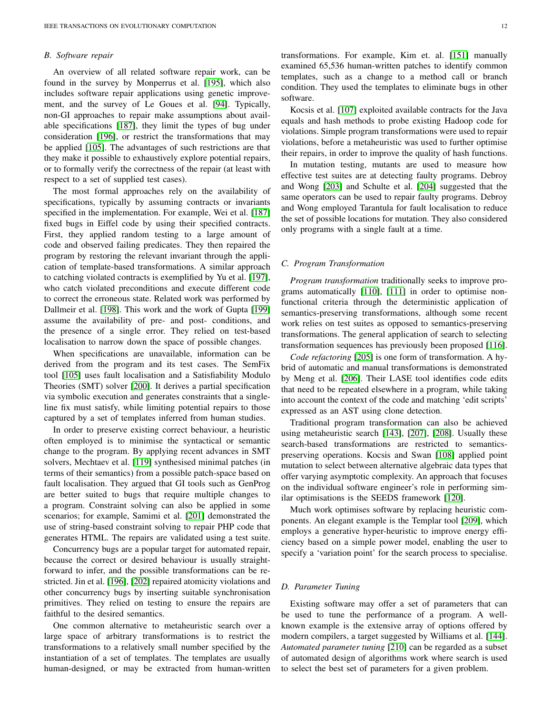# *B. Software repair*

An overview of all related software repair work, can be found in the survey by Monperrus et al. [\[195\]](#page-16-36), which also includes software repair applications using genetic improvement, and the survey of Le Goues et al. [\[94\]](#page-14-32). Typically, non-GI approaches to repair make assumptions about available specifications [\[187\]](#page-16-28), they limit the types of bug under consideration [\[196\]](#page-16-37), or restrict the transformations that may be applied [\[105\]](#page-14-43). The advantages of such restrictions are that they make it possible to exhaustively explore potential repairs, or to formally verify the correctness of the repair (at least with respect to a set of supplied test cases).

The most formal approaches rely on the availability of specifications, typically by assuming contracts or invariants specified in the implementation. For example, Wei et al. [\[187\]](#page-16-28) fixed bugs in Eiffel code by using their specified contracts. First, they applied random testing to a large amount of code and observed failing predicates. They then repaired the program by restoring the relevant invariant through the application of template-based transformations. A similar approach to catching violated contracts is exemplified by Yu et al. [\[197\]](#page-16-38), who catch violated preconditions and execute different code to correct the erroneous state. Related work was performed by Dallmeir et al. [\[198\]](#page-16-39). This work and the work of Gupta [\[199\]](#page-16-40) assume the availability of pre- and post- conditions, and the presence of a single error. They relied on test-based localisation to narrow down the space of possible changes.

When specifications are unavailable, information can be derived from the program and its test cases. The SemFix tool [\[105\]](#page-14-43) uses fault localisation and a Satisfiability Modulo Theories (SMT) solver [\[200\]](#page-16-41). It derives a partial specification via symbolic execution and generates constraints that a singleline fix must satisfy, while limiting potential repairs to those captured by a set of templates inferred from human studies.

In order to preserve existing correct behaviour, a heuristic often employed is to minimise the syntactical or semantic change to the program. By applying recent advances in SMT solvers, Mechtaev et al. [\[119\]](#page-15-11) synthesised minimal patches (in terms of their semantics) from a possible patch-space based on fault localisation. They argued that GI tools such as GenProg are better suited to bugs that require multiple changes to a program. Constraint solving can also be applied in some scenarios; for example, Samimi et al. [\[201\]](#page-16-42) demonstrated the use of string-based constraint solving to repair PHP code that generates HTML. The repairs are validated using a test suite.

Concurrency bugs are a popular target for automated repair, because the correct or desired behaviour is usually straightforward to infer, and the possible transformations can be restricted. Jin et al. [\[196\]](#page-16-37), [\[202\]](#page-16-43) repaired atomicity violations and other concurrency bugs by inserting suitable synchronisation primitives. They relied on testing to ensure the repairs are faithful to the desired semantics.

One common alternative to metaheuristic search over a large space of arbitrary transformations is to restrict the transformations to a relatively small number specified by the instantiation of a set of templates. The templates are usually human-designed, or may be extracted from human-written

transformations. For example, Kim et. al. [\[151\]](#page-15-43) manually examined 65,536 human-written patches to identify common templates, such as a change to a method call or branch condition. They used the templates to eliminate bugs in other software.

Kocsis et al. [\[107\]](#page-14-45) exploited available contracts for the Java equals and hash methods to probe existing Hadoop code for violations. Simple program transformations were used to repair violations, before a metaheuristic was used to further optimise their repairs, in order to improve the quality of hash functions.

In mutation testing, mutants are used to measure how effective test suites are at detecting faulty programs. Debroy and Wong [\[203\]](#page-16-44) and Schulte et al. [\[204\]](#page-16-45) suggested that the same operators can be used to repair faulty programs. Debroy and Wong employed Tarantula for fault localisation to reduce the set of possible locations for mutation. They also considered only programs with a single fault at a time.

## <span id="page-11-0"></span>*C. Program Transformation*

*Program transformation* traditionally seeks to improve programs automatically [\[110\]](#page-15-2), [\[111\]](#page-15-3) in order to optimise nonfunctional criteria through the deterministic application of semantics-preserving transformations, although some recent work relies on test suites as opposed to semantics-preserving transformations. The general application of search to selecting transformation sequences has previously been proposed [\[116\]](#page-15-8).

*Code refactoring* [\[205\]](#page-17-0) is one form of transformation. A hybrid of automatic and manual transformations is demonstrated by Meng et al. [\[206\]](#page-17-1). Their LASE tool identifies code edits that need to be repeated elsewhere in a program, while taking into account the context of the code and matching 'edit scripts' expressed as an AST using clone detection.

Traditional program transformation can also be achieved using metaheuristic search [\[143\]](#page-15-35), [\[207\]](#page-17-2), [\[208\]](#page-17-3). Usually these search-based transformations are restricted to semanticspreserving operations. Kocsis and Swan [\[108\]](#page-15-0) applied point mutation to select between alternative algebraic data types that offer varying asymptotic complexity. An approach that focuses on the individual software engineer's role in performing similar optimisations is the SEEDS framework [\[120\]](#page-15-12).

Much work optimises software by replacing heuristic components. An elegant example is the Templar tool [\[209\]](#page-17-4), which employs a generative hyper-heuristic to improve energy efficiency based on a simple power model, enabling the user to specify a 'variation point' for the search process to specialise.

## *D. Parameter Tuning*

Existing software may offer a set of parameters that can be used to tune the performance of a program. A wellknown example is the extensive array of options offered by modern compilers, a target suggested by Williams et al. [\[144\]](#page-15-36). *Automated parameter tuning* [\[210\]](#page-17-5) can be regarded as a subset of automated design of algorithms work where search is used to select the best set of parameters for a given problem.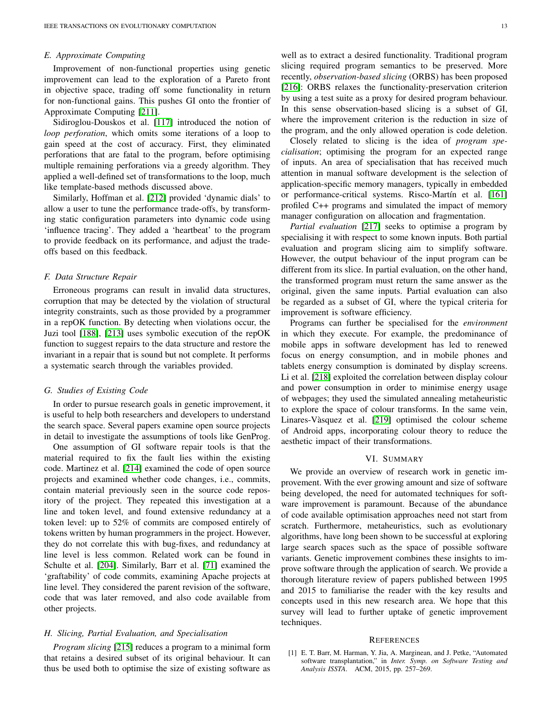## *E. Approximate Computing*

Improvement of non-functional properties using genetic improvement can lead to the exploration of a Pareto front in objective space, trading off some functionality in return for non-functional gains. This pushes GI onto the frontier of Approximate Computing [\[211\]](#page-17-6).

Sidiroglou-Douskos et al. [\[117\]](#page-15-9) introduced the notion of *loop perforation*, which omits some iterations of a loop to gain speed at the cost of accuracy. First, they eliminated perforations that are fatal to the program, before optimising multiple remaining perforations via a greedy algorithm. They applied a well-defined set of transformations to the loop, much like template-based methods discussed above.

Similarly, Hoffman et al. [\[212\]](#page-17-7) provided 'dynamic dials' to allow a user to tune the performance trade-offs, by transforming static configuration parameters into dynamic code using 'influence tracing'. They added a 'heartbeat' to the program to provide feedback on its performance, and adjust the tradeoffs based on this feedback.

## *F. Data Structure Repair*

Erroneous programs can result in invalid data structures, corruption that may be detected by the violation of structural integrity constraints, such as those provided by a programmer in a repOK function. By detecting when violations occur, the Juzi tool [\[188\]](#page-16-29), [\[213\]](#page-17-8) uses symbolic execution of the repOK function to suggest repairs to the data structure and restore the invariant in a repair that is sound but not complete. It performs a systematic search through the variables provided.

## *G. Studies of Existing Code*

In order to pursue research goals in genetic improvement, it is useful to help both researchers and developers to understand the search space. Several papers examine open source projects in detail to investigate the assumptions of tools like GenProg.

One assumption of GI software repair tools is that the material required to fix the fault lies within the existing code. Martinez et al. [\[214\]](#page-17-9) examined the code of open source projects and examined whether code changes, i.e., commits, contain material previously seen in the source code repository of the project. They repeated this investigation at a line and token level, and found extensive redundancy at a token level: up to 52% of commits are composed entirely of tokens written by human programmers in the project. However, they do not correlate this with bug-fixes, and redundancy at line level is less common. Related work can be found in Schulte et al. [\[204\]](#page-16-45). Similarly, Barr et al. [\[71\]](#page-14-9) examined the 'graftability' of code commits, examining Apache projects at line level. They considered the parent revision of the software, code that was later removed, and also code available from other projects.

## *H. Slicing, Partial Evaluation, and Specialisation*

*Program slicing* [\[215\]](#page-17-10) reduces a program to a minimal form that retains a desired subset of its original behaviour. It can thus be used both to optimise the size of existing software as

well as to extract a desired functionality. Traditional program slicing required program semantics to be preserved. More recently, *observation-based slicing* (ORBS) has been proposed [\[216\]](#page-17-11): ORBS relaxes the functionality-preservation criterion by using a test suite as a proxy for desired program behaviour. In this sense observation-based slicing is a subset of GI, where the improvement criterion is the reduction in size of the program, and the only allowed operation is code deletion.

Closely related to slicing is the idea of *program specialisation*; optimising the program for an expected range of inputs. An area of specialisation that has received much attention in manual software development is the selection of application-specific memory managers, typically in embedded or performance-critical systems. Risco-Martín et al. [\[161\]](#page-16-2) profiled C++ programs and simulated the impact of memory manager configuration on allocation and fragmentation.

*Partial evaluation* [\[217\]](#page-17-12) seeks to optimise a program by specialising it with respect to some known inputs. Both partial evaluation and program slicing aim to simplify software. However, the output behaviour of the input program can be different from its slice. In partial evaluation, on the other hand, the transformed program must return the same answer as the original, given the same inputs. Partial evaluation can also be regarded as a subset of GI, where the typical criteria for improvement is software efficiency.

Programs can further be specialised for the *environment* in which they execute. For example, the predominance of mobile apps in software development has led to renewed focus on energy consumption, and in mobile phones and tablets energy consumption is dominated by display screens. Li et al. [\[218\]](#page-17-13) exploited the correlation between display colour and power consumption in order to minimise energy usage of webpages; they used the simulated annealing metaheuristic to explore the space of colour transforms. In the same vein, Linares-Vàsquez et al. [\[219\]](#page-17-14) optimised the colour scheme of Android apps, incorporating colour theory to reduce the aesthetic impact of their transformations.

## VI. SUMMARY

<span id="page-12-1"></span>We provide an overview of research work in genetic improvement. With the ever growing amount and size of software being developed, the need for automated techniques for software improvement is paramount. Because of the abundance of code available optimisation approaches need not start from scratch. Furthermore, metaheuristics, such as evolutionary algorithms, have long been shown to be successful at exploring large search spaces such as the space of possible software variants. Genetic improvement combines these insights to improve software through the application of search. We provide a thorough literature review of papers published between 1995 and 2015 to familiarise the reader with the key results and concepts used in this new research area. We hope that this survey will lead to further uptake of genetic improvement techniques.

#### **REFERENCES**

<span id="page-12-0"></span>[1] E. T. Barr, M. Harman, Y. Jia, A. Marginean, and J. Petke, "Automated software transplantation," in *Inter. Symp. on Software Testing and Analysis ISSTA*. ACM, 2015, pp. 257–269.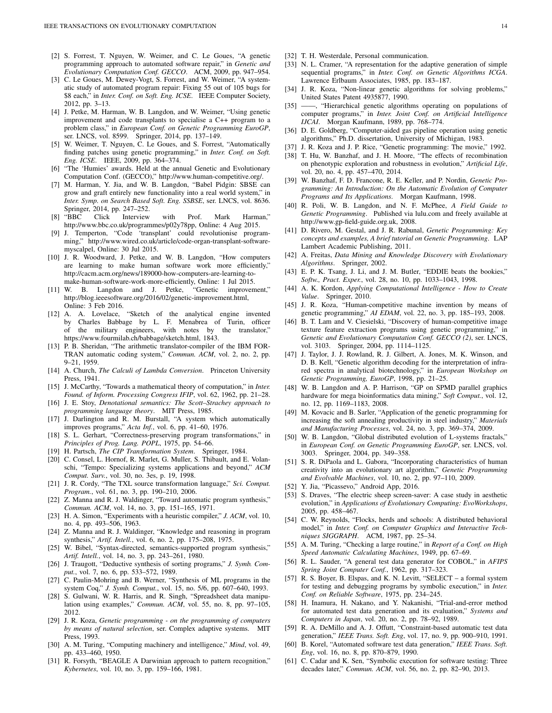- <span id="page-13-0"></span>[2] S. Forrest, T. Nguyen, W. Weimer, and C. Le Goues, "A genetic programming approach to automated software repair," in *Genetic and Evolutionary Computation Conf. GECCO*. ACM, 2009, pp. 947–954.
- <span id="page-13-1"></span>[3] C. Le Goues, M. Dewey-Vogt, S. Forrest, and W. Weimer, "A systematic study of automated program repair: Fixing 55 out of 105 bugs for \$8 each," in *Inter. Conf. on Soft. Eng. ICSE*. IEEE Computer Society, 2012, pp. 3–13.
- <span id="page-13-2"></span>[4] J. Petke, M. Harman, W. B. Langdon, and W. Weimer, "Using genetic improvement and code transplants to specialise a C++ program to a problem class," in *European Conf. on Genetic Programming EuroGP*, ser. LNCS, vol. 8599. Springer, 2014, pp. 137–149.
- <span id="page-13-3"></span>[5] W. Weimer, T. Nguyen, C. Le Goues, and S. Forrest, "Automatically finding patches using genetic programming," in *Inter. Conf. on Soft. Eng. ICSE*. IEEE, 2009, pp. 364–374.
- <span id="page-13-4"></span>[6] "The 'Humies' awards. Held at the annual Genetic and Evolutionary Computation Conf. (GECCO)," http://www.human-competitive.org/.
- <span id="page-13-5"></span>[7] M. Harman, Y. Jia, and W. B. Langdon, "Babel Pidgin: SBSE can grow and graft entirely new functionality into a real world system," in *Inter. Symp. on Search Based Soft. Eng. SSBSE*, ser. LNCS, vol. 8636. Springer, 2014, pp. 247–252.
- <span id="page-13-6"></span>[8] "BBC Click Interview with Prof. Mark Harman," http://www.bbc.co.uk/programmes/p02y78pp, Online: 4 Aug 2015.
- <span id="page-13-7"></span>[9] J. Temperton, "Code 'transplant' could revolutionise programming," http://www.wired.co.uk/article/code-organ-transplant-softwaremyscalpel, Online: 30 Jul 2015.
- <span id="page-13-8"></span>[10] J. R. Woodward, J. Petke, and W. B. Langdon, "How computers are learning to make human software work more efficiently," http://cacm.acm.org/news/189000-how-computers-are-learning-tomake-human-software-work-more-efficiently, Online: 1 Jul 2015.
- <span id="page-13-9"></span>[11] W. B. Langdon and J. Petke, "Genetic improvement," http://blog.ieeesoftware.org/2016/02/genetic-improvement.html, Online: 3 Feb 2016.
- <span id="page-13-10"></span>[12] A. A. Lovelace, "Sketch of the analytical engine invented by Charles Babbage by L. F. Menabrea of Turin, officer of the military engineers, with notes by the translator," https://www.fourmilab.ch/babbage/sketch.html, 1843.
- <span id="page-13-11"></span>[13] P. B. Sheridan, "The arithmetic translator-compiler of the IBM FOR-TRAN automatic coding system," *Commun. ACM*, vol. 2, no. 2, pp. 9–21, 1959.
- <span id="page-13-12"></span>[14] A. Church, *The Calculi of Lambda Conversion*. Princeton University Press, 1941.
- <span id="page-13-13"></span>[15] J. McCarthy, "Towards a mathematical theory of computation," in *Inter. Found. of Inform. Processing Congress IFIP*, vol. 62, 1962, pp. 21–28.
- <span id="page-13-14"></span>[16] J. E. Stoy, *Denotational semantics: The Scott–Strachey approach to programming language theory*. MIT Press, 1985.
- <span id="page-13-15"></span>[17] J. Darlington and R. M. Burstall, "A system which automatically improves programs," *Acta Inf.*, vol. 6, pp. 41–60, 1976.
- <span id="page-13-16"></span>[18] S. L. Gerhart, "Correctness-preserving program transformations," in *Principles of Prog. Lang. POPL*, 1975, pp. 54–66.
- <span id="page-13-17"></span>[19] H. Partsch, *The CIP Transformation System*. Springer, 1984.
- <span id="page-13-18"></span>[20] C. Consel, L. Hornof, R. Marlet, G. Muller, S. Thibault, and E. Volanschi, "Tempo: Specializing systems applications and beyond," *ACM Comput. Surv.*, vol. 30, no. 3es, p. 19, 1998.
- <span id="page-13-19"></span>[21] J. R. Cordy, "The TXL source transformation language," *Sci. Comput. Program.*, vol. 61, no. 3, pp. 190–210, 2006.
- <span id="page-13-20"></span>[22] Z. Manna and R. J. Waldinger, "Toward automatic program synthesis," *Commun. ACM*, vol. 14, no. 3, pp. 151–165, 1971.
- <span id="page-13-21"></span>[23] H. A. Simon, "Experiments with a heuristic compiler," *J. ACM*, vol. 10, no. 4, pp. 493–506, 1963.
- <span id="page-13-22"></span>[24] Z. Manna and R. J. Waldinger, "Knowledge and reasoning in program synthesis," *Artif. Intell.*, vol. 6, no. 2, pp. 175–208, 1975.
- <span id="page-13-23"></span>[25] W. Bibel, "Syntax-directed, semantics-supported program synthesis," *Artif. Intell.*, vol. 14, no. 3, pp. 243–261, 1980.
- <span id="page-13-24"></span>[26] J. Traugott, "Deductive synthesis of sorting programs," *J. Symb. Comput.*, vol. 7, no. 6, pp. 533–572, 1989.
- <span id="page-13-25"></span>[27] C. Paulin-Mohring and B. Werner, "Synthesis of ML programs in the system Coq," *J. Symb. Comput.*, vol. 15, no. 5/6, pp. 607–640, 1993.
- <span id="page-13-26"></span>[28] S. Gulwani, W. R. Harris, and R. Singh, "Spreadsheet data manipulation using examples," *Commun. ACM*, vol. 55, no. 8, pp. 97–105, 2012.
- <span id="page-13-27"></span>[29] J. R. Koza, *Genetic programming - on the programming of computers by means of natural selection*, ser. Complex adaptive systems. MIT Press, 1993.
- <span id="page-13-28"></span>[30] A. M. Turing, "Computing machinery and intelligence," *Mind*, vol. 49, pp. 433–460, 1950.
- <span id="page-13-29"></span>[31] R. Forsyth, "BEAGLE A Darwinian approach to pattern recognition," *Kybernetes*, vol. 10, no. 3, pp. 159–166, 1981.
- <span id="page-13-30"></span>[32] T. H. Westerdale, Personal communication.
- <span id="page-13-31"></span>[33] N. L. Cramer, "A representation for the adaptive generation of simple sequential programs," in *Inter. Conf. on Genetic Algorithms ICGA*. Lawrence Erlbaum Associates, 1985, pp. 183–187.
- <span id="page-13-32"></span>[34] J. R. Koza, "Non-linear genetic algorithms for solving problems," United States Patent 4935877, 1990.
- <span id="page-13-33"></span>[35] ——, "Hierarchical genetic algorithms operating on populations of computer programs," in *Inter. Joint Conf. on Artificial Intelligence IJCAI*. Morgan Kaufmann, 1989, pp. 768–774.
- <span id="page-13-34"></span>[36] D. E. Goldberg, "Computer-aided gas pipeline operation using genetic algorithms," Ph.D. dissertation, University of Michigan, 1983.
- <span id="page-13-35"></span>[37] J. R. Koza and J. P. Rice, "Genetic programming: The movie," 1992.
- <span id="page-13-36"></span>[38] T. Hu, W. Banzhaf, and J. H. Moore, "The effects of recombination on phenotypic exploration and robustness in evolution," *Artificial Life*, vol. 20, no. 4, pp. 457–470, 2014.
- <span id="page-13-37"></span>[39] W. Banzhaf, F. D. Francone, R. E. Keller, and P. Nordin, *Genetic Programming: An Introduction: On the Automatic Evolution of Computer Programs and Its Applications*. Morgan Kaufmann, 1998.
- <span id="page-13-38"></span>[40] R. Poli, W. B. Langdon, and N. F. McPhee, *A Field Guide to Genetic Programming*. Published via lulu.com and freely available at http://www.gp-field-guide.org.uk, 2008.
- <span id="page-13-39"></span>[41] D. Rivero, M. Gestal, and J. R. Rabunal, *Genetic Programming: Key concepts and examples, A brief tutorial on Genetic Programming*. LAP Lambert Academic Publishing, 2011.
- <span id="page-13-40"></span>[42] A. Freitas, *Data Mining and Knowledge Discovery with Evolutionary Algorithms*. Springer, 2002.
- <span id="page-13-41"></span>[43] E. P. K. Tsang, J. Li, and J. M. Butler, "EDDIE beats the bookies," *Softw., Pract. Exper.*, vol. 28, no. 10, pp. 1033–1043, 1998.
- <span id="page-13-42"></span>[44] A. K. Kordon, *Applying Computational Intelligence - How to Create Value*. Springer, 2010.
- <span id="page-13-43"></span>[45] J. R. Koza, "Human-competitive machine invention by means of genetic programming," *AI EDAM*, vol. 22, no. 3, pp. 185–193, 2008.
- <span id="page-13-44"></span>[46] B. T. Lam and V. Ciesielski, "Discovery of human-competitive image texture feature extraction programs using genetic programming," in *Genetic and Evolutionary Computation Conf. GECCO (2)*, ser. LNCS, vol. 3103. Springer, 2004, pp. 1114–1125.
- <span id="page-13-45"></span>[47] J. Taylor, J. J. Rowland, R. J. Gilbert, A. Jones, M. K. Winson, and D. B. Kell, "Genetic algorithm decoding for the interpretation of infrared spectra in analytical biotechnology," in *European Workshop on Genetic Programming, EuroGP*, 1998, pp. 21–25.
- <span id="page-13-46"></span>[48] W. B. Langdon and A. P. Harrison, "GP on SPMD parallel graphics hardware for mega bioinformatics data mining," *Soft Comput.*, vol. 12, no. 12, pp. 1169–1183, 2008.
- <span id="page-13-47"></span>[49] M. Kovacic and B. Sarler, "Application of the genetic programming for increasing the soft annealing productivity in steel industry," *Materials and Manufacturing Processes*, vol. 24, no. 3, pp. 369–374, 2009.
- <span id="page-13-48"></span>[50] W. B. Langdon, "Global distributed evolution of L-systems fractals," in *European Conf. on Genetic Programming EuroGP*, ser. LNCS, vol. 3003. Springer, 2004, pp. 349–358.
- <span id="page-13-49"></span>[51] S. R. DiPaola and L. Gabora, "Incorporating characteristics of human creativity into an evolutionary art algorithm," *Genetic Programming and Evolvable Machines*, vol. 10, no. 2, pp. 97–110, 2009.
- <span id="page-13-50"></span>[52] Y. Jia, "Picassevo," Android App, 2016.
- <span id="page-13-51"></span>[53] S. Draves, "The electric sheep screen-saver: A case study in aesthetic evolution," in *Applications of Evolutionary Computing: EvoWorkshops*, 2005, pp. 458–467.
- <span id="page-13-52"></span>[54] C. W. Reynolds, "Flocks, herds and schools: A distributed behavioral model," in *Inter. Conf. on Computer Graphics and Interactive Techniques SIGGRAPH*. ACM, 1987, pp. 25–34.
- <span id="page-13-53"></span>[55] A. M. Turing, "Checking a large routine," in *Report of a Conf. on High Speed Automatic Calculating Machines*, 1949, pp. 67–69.
- <span id="page-13-54"></span>[56] R. L. Sauder, "A general test data generator for COBOL," in *AFIPS Spring Joint Computer Conf.*, 1962, pp. 317–323.
- <span id="page-13-55"></span>[57] R. S. Boyer, B. Elspas, and K. N. Levitt, "SELECT – a formal system for testing and debugging programs by symbolic execution," in *Inter. Conf. on Reliable Software*, 1975, pp. 234–245.
- <span id="page-13-56"></span>[58] H. Inamura, H. Nakano, and Y. Nakanishi, "Trial-and-error method for automated test data generation and its evaluation," *Systems and Computers in Japan*, vol. 20, no. 2, pp. 78–92, 1989.
- <span id="page-13-57"></span>[59] R. A. DeMillo and A. J. Offutt, "Constraint-based automatic test data generation," *IEEE Trans. Soft. Eng*, vol. 17, no. 9, pp. 900–910, 1991.
- <span id="page-13-58"></span>[60] B. Korel, "Automated software test data generation," *IEEE Trans. Soft. Eng*, vol. 16, no. 8, pp. 870–879, 1990.
- <span id="page-13-59"></span>[61] C. Cadar and K. Sen, "Symbolic execution for software testing: Three decades later," *Commun. ACM*, vol. 56, no. 2, pp. 82–90, 2013.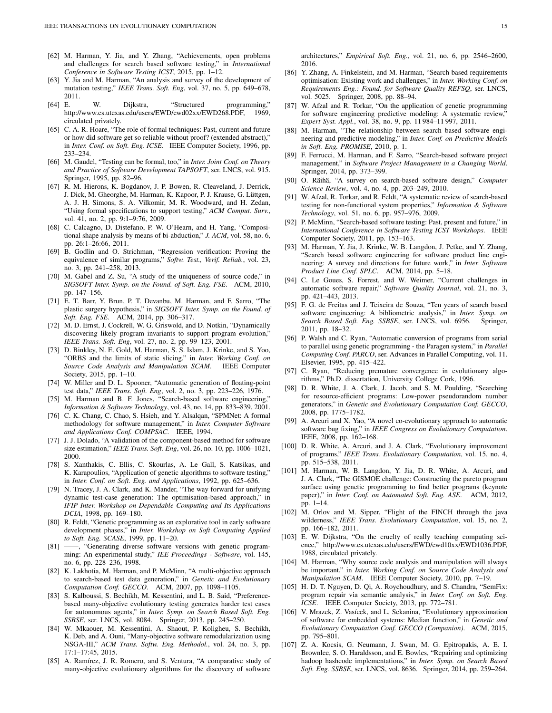- <span id="page-14-0"></span>[62] M. Harman, Y. Jia, and Y. Zhang, "Achievements, open problems and challenges for search based software testing," in *International Conference in Software Testing ICST*, 2015, pp. 1–12.
- <span id="page-14-1"></span>[63] Y. Jia and M. Harman, "An analysis and survey of the development of mutation testing," *IEEE Trans. Soft. Eng*, vol. 37, no. 5, pp. 649–678, 2011.
- <span id="page-14-2"></span>[64] E. W. Dijkstra, "Structured programming," http://www.cs.utexas.edu/users/EWD/ewd02xx/EWD268.PDF, 1969, circulated privately.
- <span id="page-14-3"></span>[65] C. A. R. Hoare, "The role of formal techniques: Past, current and future or how did software get so reliable without proof? (extended abstract)," in *Inter. Conf. on Soft. Eng. ICSE*. IEEE Computer Society, 1996, pp. 233–234.
- <span id="page-14-4"></span>[66] M. Gaudel, "Testing can be formal, too," in *Inter. Joint Conf. on Theory and Practice of Software Development TAPSOFT*, ser. LNCS, vol. 915. Springer, 1995, pp. 82–96.
- <span id="page-14-5"></span>[67] R. M. Hierons, K. Bogdanov, J. P. Bowen, R. Cleaveland, J. Derrick, J. Dick, M. Gheorghe, M. Harman, K. Kapoor, P. J. Krause, G. Lüttgen, A. J. H. Simons, S. A. Vilkomir, M. R. Woodward, and H. Zedan, "Using formal specifications to support testing," *ACM Comput. Surv.*, vol. 41, no. 2, pp. 9:1–9:76, 2009.
- <span id="page-14-6"></span>[68] C. Calcagno, D. Distefano, P. W. O'Hearn, and H. Yang, "Compositional shape analysis by means of bi-abduction," *J. ACM*, vol. 58, no. 6, pp. 26:1–26:66, 2011.
- <span id="page-14-7"></span>[69] B. Godlin and O. Strichman, "Regression verification: Proving the equivalence of similar programs," *Softw. Test., Verif. Reliab.*, vol. 23, no. 3, pp. 241–258, 2013.
- <span id="page-14-8"></span>[70] M. Gabel and Z. Su, "A study of the uniqueness of source code," in *SIGSOFT Inter. Symp. on the Found. of Soft. Eng. FSE*. ACM, 2010, pp. 147–156.
- <span id="page-14-9"></span>[71] E. T. Barr, Y. Brun, P. T. Devanbu, M. Harman, and F. Sarro, "The plastic surgery hypothesis," in *SIGSOFT Inter. Symp. on the Found. of Soft. Eng. FSE*. ACM, 2014, pp. 306–317.
- <span id="page-14-10"></span>[72] M. D. Ernst, J. Cockrell, W. G. Griswold, and D. Notkin, "Dynamically discovering likely program invariants to support program evolution," *IEEE Trans. Soft. Eng*, vol. 27, no. 2, pp. 99–123, 2001.
- <span id="page-14-11"></span>[73] D. Binkley, N. E. Gold, M. Harman, S. S. Islam, J. Krinke, and S. Yoo, "ORBS and the limits of static slicing," in *Inter. Working Conf. on Source Code Analysis and Manipulation SCAM*. IEEE Computer Society, 2015, pp. 1–10.
- <span id="page-14-12"></span>[74] W. Miller and D. L. Spooner, "Automatic generation of floating-point test data," *IEEE Trans. Soft. Eng*, vol. 2, no. 3, pp. 223–226, 1976.
- <span id="page-14-13"></span>[75] M. Harman and B. F. Jones, "Search-based software engineering," *Information & Software Technology*, vol. 43, no. 14, pp. 833–839, 2001.
- <span id="page-14-14"></span>[76] C. K. Chang, C. Chao, S. Hsieh, and Y. Alsalqan, "SPMNet: A formal methodology for software management," in *Inter. Computer Software and Applications Conf. COMPSAC*. IEEE, 1994.
- <span id="page-14-15"></span>[77] J. J. Dolado, "A validation of the component-based method for software size estimation," *IEEE Trans. Soft. Eng*, vol. 26, no. 10, pp. 1006–1021, 2000.
- <span id="page-14-16"></span>[78] S. Xanthakis, C. Ellis, C. Skourlas, A. Le Gall, S. Katsikas, and K. Karapoulios, "Application of genetic algorithms to software testing," in *Inter. Conf. on Soft. Eng. and Applications*, 1992, pp. 625–636.
- <span id="page-14-17"></span>[79] N. Tracey, J. A. Clark, and K. Mander, "The way forward for unifying dynamic test-case generation: The optimisation-based approach," in *IFIP Inter. Workshop on Dependable Computing and Its Applications DCIA*, 1998, pp. 169–180.
- <span id="page-14-18"></span>[80] R. Feldt, "Genetic programming as an explorative tool in early software development phases," in *Inter. Workshop on Soft Computing Applied to Soft. Eng. SCASE*, 1999, pp. 11–20.
- <span id="page-14-19"></span>[81] ——, "Generating diverse software versions with genetic programming: An experimental study," *IEE Proceedings - Software*, vol. 145, no. 6, pp. 228–236, 1998.
- <span id="page-14-20"></span>[82] K. Lakhotia, M. Harman, and P. McMinn, "A multi-objective approach to search-based test data generation," in *Genetic and Evolutionary Computation Conf. GECCO*. ACM, 2007, pp. 1098–1105.
- <span id="page-14-21"></span>[83] S. Kalboussi, S. Bechikh, M. Kessentini, and L. B. Said, "Preferencebased many-objective evolutionary testing generates harder test cases for autonomous agents," in *Inter. Symp. on Search Based Soft. Eng. SSBSE*, ser. LNCS, vol. 8084. Springer, 2013, pp. 245–250.
- <span id="page-14-22"></span>[84] W. Mkaouer, M. Kessentini, A. Shaout, P. Koligheu, S. Bechikh, K. Deb, and A. Ouni, "Many-objective software remodularization using NSGA-III," *ACM Trans. Softw. Eng. Methodol.*, vol. 24, no. 3, pp. 17:1–17:45, 2015.
- <span id="page-14-23"></span>[85] A. Ramírez, J. R. Romero, and S. Ventura, "A comparative study of many-objective evolutionary algorithms for the discovery of software

architectures," *Empirical Soft. Eng.*, vol. 21, no. 6, pp. 2546–2600, 2016.

- <span id="page-14-24"></span>[86] Y. Zhang, A. Finkelstein, and M. Harman, "Search based requirements optimisation: Existing work and challenges," in *Inter. Working Conf. on Requirements Eng.: Found. for Software Quality REFSQ*, ser. LNCS, vol. 5025. Springer, 2008, pp. 88–94.
- <span id="page-14-25"></span>[87] W. Afzal and R. Torkar, "On the application of genetic programming for software engineering predictive modeling: A systematic review,' *Expert Syst. Appl.*, vol. 38, no. 9, pp. 11 984–11 997, 2011.
- <span id="page-14-26"></span>[88] M. Harman, "The relationship between search based software engineering and predictive modeling," in *Inter. Conf. on Predictive Models in Soft. Eng. PROMISE*, 2010, p. 1.
- <span id="page-14-27"></span>[89] F. Ferrucci, M. Harman, and F. Sarro, "Search-based software project management," in *Software Project Management in a Changing World*. Springer, 2014, pp. 373–399.
- <span id="page-14-28"></span>[90] O. Räihä, "A survey on search-based software design," *Computer Science Review*, vol. 4, no. 4, pp. 203–249, 2010.
- <span id="page-14-29"></span>[91] W. Afzal, R. Torkar, and R. Feldt, "A systematic review of search-based testing for non-functional system properties," *Information & Software Technology*, vol. 51, no. 6, pp. 957–976, 2009.
- <span id="page-14-30"></span>[92] P. McMinn, "Search-based software testing: Past, present and future," in *International Conference in Software Testing ICST Workshops*. IEEE Computer Society, 2011, pp. 153–163.
- <span id="page-14-31"></span>[93] M. Harman, Y. Jia, J. Krinke, W. B. Langdon, J. Petke, and Y. Zhang, "Search based software engineering for software product line engineering: A survey and directions for future work," in *Inter. Software Product Line Conf. SPLC*. ACM, 2014, pp. 5–18.
- <span id="page-14-32"></span>[94] C. Le Goues, S. Forrest, and W. Weimer, "Current challenges in automatic software repair," *Software Quality Journal*, vol. 21, no. 3, pp. 421–443, 2013.
- <span id="page-14-33"></span>[95] F. G. de Freitas and J. Teixeira de Souza, "Ten years of search based software engineering: A bibliometric analysis," in *Inter. Symp. on Search Based Soft. Eng. SSBSE*, ser. LNCS, vol. 6956. Springer, 2011, pp. 18–32.
- <span id="page-14-34"></span>[96] P. Walsh and C. Ryan, "Automatic conversion of programs from serial to parallel using genetic programming - the Paragen system," in *Parallel Computing Conf. PARCO*, ser. Advances in Parallel Computing, vol. 11. Elsevier, 1995, pp. 415–422.
- <span id="page-14-35"></span>[97] C. Ryan, "Reducing premature convergence in evolutionary algorithms," Ph.D. dissertation, University College Cork, 1996.
- <span id="page-14-36"></span>[98] D. R. White, J. A. Clark, J. Jacob, and S. M. Poulding, "Searching for resource-efficient programs: Low-power pseudorandom number generators," in *Genetic and Evolutionary Computation Conf. GECCO*, 2008, pp. 1775–1782.
- <span id="page-14-37"></span>[99] A. Arcuri and X. Yao, "A novel co-evolutionary approach to automatic software bug fixing," in *IEEE Congress on Evolutionary Computation*. IEEE, 2008, pp. 162–168.
- <span id="page-14-38"></span>[100] D. R. White, A. Arcuri, and J. A. Clark, "Evolutionary improvement of programs," *IEEE Trans. Evolutionary Computation*, vol. 15, no. 4, pp. 515–538, 2011.
- <span id="page-14-39"></span>[101] M. Harman, W. B. Langdon, Y. Jia, D. R. White, A. Arcuri, and J. A. Clark, "The GISMOE challenge: Constructing the pareto program surface using genetic programming to find better programs (keynote paper)," in *Inter. Conf. on Automated Soft. Eng. ASE*. ACM, 2012, pp. 1–14.
- <span id="page-14-40"></span>[102] M. Orlov and M. Sipper, "Flight of the FINCH through the java wilderness," *IEEE Trans. Evolutionary Computation*, vol. 15, no. 2, pp. 166–182, 2011.
- <span id="page-14-41"></span>[103] E. W. Dijkstra, "On the cruelty of really teaching computing science," http://www.cs.utexas.edu/users/EWD/ewd10xx/EWD1036.PDF, 1988, circulated privately.
- <span id="page-14-42"></span>[104] M. Harman, "Why source code analysis and manipulation will always be important," in *Inter. Working Conf. on Source Code Analysis and Manipulation SCAM*. IEEE Computer Society, 2010, pp. 7–19.
- <span id="page-14-43"></span>[105] H. D. T. Nguyen, D. Qi, A. Roychoudhury, and S. Chandra, "SemFix: program repair via semantic analysis," in *Inter. Conf. on Soft. Eng. ICSE*. IEEE Computer Society, 2013, pp. 772–781.
- <span id="page-14-44"></span>[106] V. Mrazek, Z. Vasícek, and L. Sekanina, "Evolutionary approximation of software for embedded systems: Median function," in *Genetic and Evolutionary Computation Conf. GECCO (Companion)*. ACM, 2015, pp. 795–801.
- <span id="page-14-45"></span>[107] Z. A. Kocsis, G. Neumann, J. Swan, M. G. Epitropakis, A. E. I. Brownlee, S. O. Haraldsson, and E. Bowles, "Repairing and optimizing hadoop hashcode implementations," in *Inter. Symp. on Search Based Soft. Eng. SSBSE*, ser. LNCS, vol. 8636. Springer, 2014, pp. 259–264.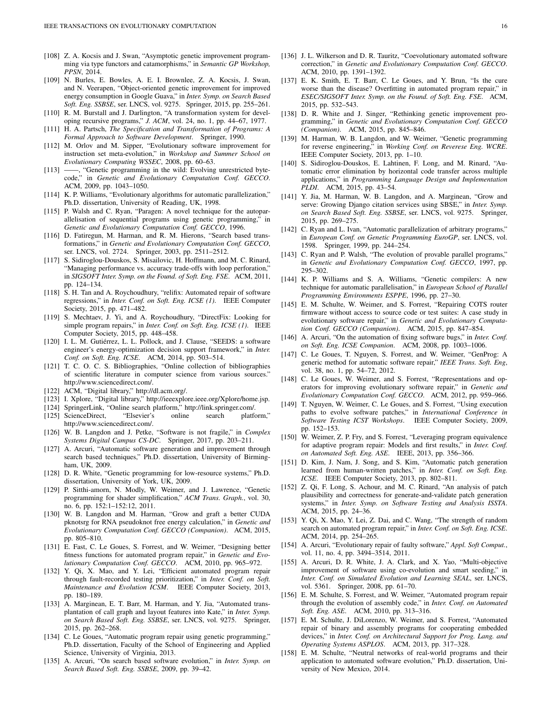- <span id="page-15-0"></span>[108] Z. A. Kocsis and J. Swan, "Asymptotic genetic improvement programming via type functors and catamorphisms," in *Semantic GP Workshop, PPSN*, 2014.
- <span id="page-15-1"></span>[109] N. Burles, E. Bowles, A. E. I. Brownlee, Z. A. Kocsis, J. Swan, and N. Veerapen, "Object-oriented genetic improvement for improved energy consumption in Google Guava," in *Inter. Symp. on Search Based Soft. Eng. SSBSE*, ser. LNCS, vol. 9275. Springer, 2015, pp. 255–261.
- <span id="page-15-2"></span>[110] R. M. Burstall and J. Darlington, "A transformation system for developing recursive programs," *J. ACM*, vol. 24, no. 1, pp. 44–67, 1977.
- <span id="page-15-3"></span>[111] H. A. Partsch, *The Specification and Transformation of Programs: A Formal Approach to Software Development*. Springer, 1990.
- <span id="page-15-4"></span>[112] M. Orlov and M. Sipper, "Evolutionary software improvement for instruction set meta-evolution," in *Workshop and Summer School on Evolutionary Computing WSSEC*, 2008, pp. 60–63.
- <span id="page-15-5"></span>[113] ——, "Genetic programming in the wild: Evolving unrestricted bytecode," in *Genetic and Evolutionary Computation Conf. GECCO*. ACM, 2009, pp. 1043–1050.
- <span id="page-15-6"></span>[114] K. P. Williams, "Evolutionary algorithms for automatic parallelization," Ph.D. dissertation, University of Reading, UK, 1998.
- <span id="page-15-7"></span>[115] P. Walsh and C. Ryan, "Paragen: A novel technique for the autoparallelisation of sequential programs using genetic programming," in *Genetic and Evolutionary Computation Conf. GECCO*, 1996.
- <span id="page-15-8"></span>[116] D. Fatiregun, M. Harman, and R. M. Hierons, "Search based transformations," in *Genetic and Evolutionary Computation Conf. GECCO*, ser. LNCS, vol. 2724. Springer, 2003, pp. 2511–2512.
- <span id="page-15-9"></span>[117] S. Sidiroglou-Douskos, S. Misailovic, H. Hoffmann, and M. C. Rinard, "Managing performance vs. accuracy trade-offs with loop perforation," in *SIGSOFT Inter. Symp. on the Found. of Soft. Eng. FSE*. ACM, 2011, pp. 124–134.
- <span id="page-15-10"></span>[118] S. H. Tan and A. Roychoudhury, "relifix: Automated repair of software regressions," in *Inter. Conf. on Soft. Eng. ICSE (1)*. IEEE Computer Society, 2015, pp. 471–482.
- <span id="page-15-11"></span>[119] S. Mechtaev, J. Yi, and A. Roychoudhury, "DirectFix: Looking for simple program repairs," in *Inter. Conf. on Soft. Eng. ICSE (1)*. IEEE Computer Society, 2015, pp. 448–458.
- <span id="page-15-12"></span>[120] I. L. M. Gutiérrez, L. L. Pollock, and J. Clause, "SEEDS: a software engineer's energy-optimization decision support framework," in *Inter. Conf. on Soft. Eng. ICSE*. ACM, 2014, pp. 503–514.
- <span id="page-15-13"></span>[121] T. C. O. C. S. Bibliographies, "Online collection of bibliographies of scientific literature in computer science from various sources." http://www.sciencedirect.com/.
- <span id="page-15-14"></span>[122] ACM, "Digital library," http://dl.acm.org/.
- <span id="page-15-15"></span>[123] I. Xplore, "Digital library," http://ieeexplore.ieee.org/Xplore/home.jsp.
- <span id="page-15-17"></span>
- <span id="page-15-16"></span>[124] SpringerLink, "Online search platform," http://link.springer.com/. [125] ScienceDirect, "Elsevier's online search http://www.sciencedirect.com/.
- <span id="page-15-18"></span>[126] W. B. Langdon and J. Petke, "Software is not fragile," in *Complex Systems Digital Campus CS-DC*. Springer, 2017, pp. 203–211.
- <span id="page-15-19"></span>[127] A. Arcuri, "Automatic software generation and improvement through search based techniques," Ph.D. dissertation, University of Birmingham, UK, 2009.
- <span id="page-15-20"></span>[128] D. R. White, "Genetic programming for low-resource systems," Ph.D. dissertation, University of York, UK, 2009.
- <span id="page-15-21"></span>[129] P. Sitthi-amorn, N. Modly, W. Weimer, and J. Lawrence, "Genetic programming for shader simplification," *ACM Trans. Graph.*, vol. 30, no. 6, pp. 152:1–152:12, 2011.
- <span id="page-15-22"></span>[130] W. B. Langdon and M. Harman, "Grow and graft a better CUDA pknotsrg for RNA pseudoknot free energy calculation," in *Genetic and Evolutionary Computation Conf. GECCO (Companion)*. ACM, 2015, pp. 805–810.
- <span id="page-15-23"></span>[131] E. Fast, C. Le Goues, S. Forrest, and W. Weimer, "Designing better fitness functions for automated program repair," in *Genetic and Evolutionary Computation Conf. GECCO*. ACM, 2010, pp. 965–972.
- <span id="page-15-24"></span>[132] Y. Qi, X. Mao, and Y. Lei, "Efficient automated program repair through fault-recorded testing prioritization," in *Inter. Conf. on Soft. Maintenance and Evolution ICSM*. IEEE Computer Society, 2013, pp. 180–189.
- <span id="page-15-25"></span>[133] A. Marginean, E. T. Barr, M. Harman, and Y. Jia, "Automated transplantation of call graph and layout features into Kate," in *Inter. Symp. on Search Based Soft. Eng. SSBSE*, ser. LNCS, vol. 9275. Springer, 2015, pp. 262–268.
- <span id="page-15-26"></span>[134] C. Le Goues, "Automatic program repair using genetic programming," Ph.D. dissertation, Faculty of the School of Engineering and Applied Science, University of Virginia, 2013.
- <span id="page-15-27"></span>[135] A. Arcuri, "On search based software evolution," in *Inter. Symp. on Search Based Soft. Eng. SSBSE*, 2009, pp. 39–42.
- <span id="page-15-28"></span>[136] J. L. Wilkerson and D. R. Tauritz, "Coevolutionary automated software correction," in *Genetic and Evolutionary Computation Conf. GECCO*. ACM, 2010, pp. 1391–1392.
- <span id="page-15-29"></span>[137] E. K. Smith, E. T. Barr, C. Le Goues, and Y. Brun, "Is the cure worse than the disease? Overfitting in automated program repair," in *ESEC/SIGSOFT Inter. Symp. on the Found. of Soft. Eng. FSE*. ACM, 2015, pp. 532–543.
- <span id="page-15-30"></span>[138] D. R. White and J. Singer, "Rethinking genetic improvement programming," in *Genetic and Evolutionary Computation Conf. GECCO (Companion)*. ACM, 2015, pp. 845–846.
- <span id="page-15-31"></span>[139] M. Harman, W. B. Langdon, and W. Weimer, "Genetic programming for reverse engineering," in *Working Conf. on Reverese Eng. WCRE*. IEEE Computer Society, 2013, pp. 1–10.
- <span id="page-15-32"></span>[140] S. Sidiroglou-Douskos, E. Lahtinen, F. Long, and M. Rinard, "Automatic error elimination by horizontal code transfer across multiple applications," in *Programming Language Design and Implementation PLDI*. ACM, 2015, pp. 43–54.
- <span id="page-15-33"></span>[141] Y. Jia, M. Harman, W. B. Langdon, and A. Marginean, "Grow and serve: Growing Django citation services using SBSE," in *Inter. Symp. on Search Based Soft. Eng. SSBSE*, ser. LNCS, vol. 9275. Springer, 2015, pp. 269–275.
- <span id="page-15-34"></span>[142] C. Ryan and L. Ivan, "Automatic parallelization of arbitrary programs," in *European Conf. on Genetic Programming EuroGP*, ser. LNCS, vol. 1598. Springer, 1999, pp. 244–254.
- <span id="page-15-35"></span>[143] C. Ryan and P. Walsh, "The evolution of provable parallel programs," in *Genetic and Evolutionary Computation Conf. GECCO*, 1997, pp. 295–302.
- <span id="page-15-36"></span>[144] K. P. Williams and S. A. Williams, "Genetic compilers: A new technique for automatic parallelisation," in *European School of Parallel Programming Environments ESPPE*, 1996, pp. 27–30.
- <span id="page-15-37"></span>[145] E. M. Schulte, W. Weimer, and S. Forrest, "Repairing COTS router firmware without access to source code or test suites: A case study in evolutionary software repair," in *Genetic and Evolutionary Computation Conf. GECCO (Companion)*. ACM, 2015, pp. 847–854.
- <span id="page-15-38"></span>[146] A. Arcuri, "On the automation of fixing software bugs," in *Inter. Conf. on Soft. Eng. ICSE Companion*. ACM, 2008, pp. 1003–1006.
- <span id="page-15-39"></span>[147] C. Le Goues, T. Nguyen, S. Forrest, and W. Weimer, "GenProg: A generic method for automatic software repair," *IEEE Trans. Soft. Eng*, vol. 38, no. 1, pp. 54–72, 2012.
- <span id="page-15-40"></span>[148] C. Le Goues, W. Weimer, and S. Forrest, "Representations and operators for improving evolutionary software repair," in *Genetic and Evolutionary Computation Conf. GECCO*. ACM, 2012, pp. 959–966.
- <span id="page-15-41"></span>[149] T. Nguyen, W. Weimer, C. Le Goues, and S. Forrest, "Using execution paths to evolve software patches," in *International Conference in Software Testing ICST Workshops*. IEEE Computer Society, 2009, pp. 152–153.
- <span id="page-15-42"></span>[150] W. Weimer, Z. P. Fry, and S. Forrest, "Leveraging program equivalence for adaptive program repair: Models and first results," in *Inter. Conf. on Automated Soft. Eng. ASE*. IEEE, 2013, pp. 356–366.
- <span id="page-15-43"></span>[151] D. Kim, J. Nam, J. Song, and S. Kim, "Automatic patch generation learned from human-written patches," in *Inter. Conf. on Soft. Eng. ICSE*. IEEE Computer Society, 2013, pp. 802–811.
- <span id="page-15-44"></span>[152] Z. Qi, F. Long, S. Achour, and M. C. Rinard, "An analysis of patch plausibility and correctness for generate-and-validate patch generation systems," in *Inter. Symp. on Software Testing and Analysis ISSTA*. ACM, 2015, pp. 24–36.
- <span id="page-15-45"></span>[153] Y. Qi, X. Mao, Y. Lei, Z. Dai, and C. Wang, "The strength of random search on automated program repair," in *Inter. Conf. on Soft. Eng. ICSE*. ACM, 2014, pp. 254–265.
- <span id="page-15-46"></span>[154] A. Arcuri, "Evolutionary repair of faulty software," *Appl. Soft Comput.*, vol. 11, no. 4, pp. 3494–3514, 2011.
- <span id="page-15-47"></span>[155] A. Arcuri, D. R. White, J. A. Clark, and X. Yao, "Multi-objective improvement of software using co-evolution and smart seeding," in *Inter. Conf. on Simulated Evolution and Learning SEAL*, ser. LNCS, vol. 5361. Springer, 2008, pp. 61–70.
- <span id="page-15-48"></span>[156] E. M. Schulte, S. Forrest, and W. Weimer, "Automated program repair through the evolution of assembly code," in *Inter. Conf. on Automated Soft. Eng. ASE*. ACM, 2010, pp. 313–316.
- <span id="page-15-49"></span>[157] E. M. Schulte, J. DiLorenzo, W. Weimer, and S. Forrest, "Automated repair of binary and assembly programs for cooperating embedded devices," in *Inter. Conf. on Architectural Support for Prog. Lang. and Operating Systems ASPLOS*. ACM, 2013, pp. 317–328.
- <span id="page-15-50"></span>[158] E. M. Schulte, "Neutral networks of real-world programs and their application to automated software evolution," Ph.D. dissertation, University of New Mexico, 2014.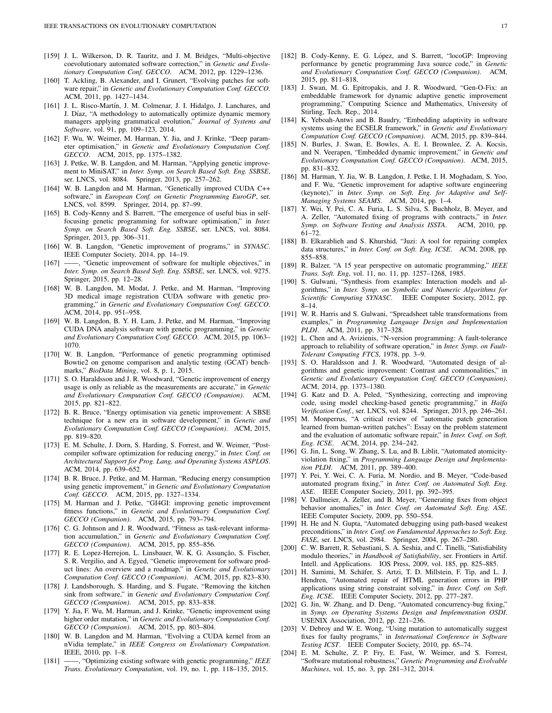- <span id="page-16-0"></span>[159] J. L. Wilkerson, D. R. Tauritz, and J. M. Bridges, "Multi-objective coevolutionary automated software correction," in *Genetic and Evolutionary Computation Conf. GECCO*. ACM, 2012, pp. 1229–1236.
- <span id="page-16-1"></span>[160] T. Ackling, B. Alexander, and I. Grunert, "Evolving patches for software repair," in *Genetic and Evolutionary Computation Conf. GECCO*. ACM, 2011, pp. 1427–1434.
- <span id="page-16-2"></span>[161] J. L. Risco-Martín, J. M. Colmenar, J. I. Hidalgo, J. Lanchares, and J. Díaz, "A methodology to automatically optimize dynamic memory managers applying grammatical evolution," *Journal of Systems and Software*, vol. 91, pp. 109–123, 2014.
- <span id="page-16-3"></span>[162] F. Wu, W. Weimer, M. Harman, Y. Jia, and J. Krinke, "Deep parameter optimisation," in *Genetic and Evolutionary Computation Conf. GECCO*. ACM, 2015, pp. 1375–1382.
- <span id="page-16-4"></span>[163] J. Petke, W. B. Langdon, and M. Harman, "Applying genetic improvement to MiniSAT," in *Inter. Symp. on Search Based Soft. Eng. SSBSE*, ser. LNCS, vol. 8084. Springer, 2013, pp. 257–262.
- <span id="page-16-5"></span>[164] W. B. Langdon and M. Harman, "Genetically improved CUDA C++ software," in *European Conf. on Genetic Programming EuroGP*, ser. LNCS, vol. 8599. Springer, 2014, pp. 87–99.
- <span id="page-16-6"></span>[165] B. Cody-Kenny and S. Barrett, "The emergence of useful bias in selffocusing genetic programming for software optimisation," in *Inter. Symp. on Search Based Soft. Eng. SSBSE*, ser. LNCS, vol. 8084. Springer, 2013, pp. 306–311.
- <span id="page-16-7"></span>[166] W. B. Langdon, "Genetic improvement of programs," in *SYNASC*. IEEE Computer Society, 2014, pp. 14–19.
- <span id="page-16-8"></span>[167] ——, "Genetic improvement of software for multiple objectives," in *Inter. Symp. on Search Based Soft. Eng. SSBSE*, ser. LNCS, vol. 9275. Springer, 2015, pp. 12–28.
- <span id="page-16-9"></span>[168] W. B. Langdon, M. Modat, J. Petke, and M. Harman, "Improving 3D medical image registration CUDA software with genetic programming," in *Genetic and Evolutionary Computation Conf. GECCO*. ACM, 2014, pp. 951–958.
- <span id="page-16-10"></span>[169] W. B. Langdon, B. Y. H. Lam, J. Petke, and M. Harman, "Improving CUDA DNA analysis software with genetic programming," in *Genetic and Evolutionary Computation Conf. GECCO*. ACM, 2015, pp. 1063– 1070.
- <span id="page-16-11"></span>[170] W. B. Langdon, "Performance of genetic programming optimised Bowtie2 on genome comparison and analytic testing (GCAT) benchmarks," *BioData Mining*, vol. 8, p. 1, 2015.
- <span id="page-16-12"></span>[171] S. O. Haraldsson and J. R. Woodward, "Genetic improvement of energy usage is only as reliable as the measurements are accurate," in *Genetic and Evolutionary Computation Conf. GECCO (Companion)*. ACM, 2015, pp. 821–822.
- <span id="page-16-13"></span>[172] B. R. Bruce, "Energy optimisation via genetic improvement: A SBSE technique for a new era in software development," in *Genetic and Evolutionary Computation Conf. GECCO (Companion)*. ACM, 2015, pp. 819–820.
- <span id="page-16-14"></span>[173] E. M. Schulte, J. Dorn, S. Harding, S. Forrest, and W. Weimer, "Postcompiler software optimization for reducing energy," in *Inter. Conf. on Architectural Support for Prog. Lang. and Operating Systems ASPLOS*. ACM, 2014, pp. 639–652.
- <span id="page-16-15"></span>[174] B. R. Bruce, J. Petke, and M. Harman, "Reducing energy consumption using genetic improvement," in *Genetic and Evolutionary Computation Conf. GECCO*. ACM, 2015, pp. 1327–1334.
- <span id="page-16-16"></span>[175] M. Harman and J. Petke, "GI4GI: improving genetic improvement fitness functions," in *Genetic and Evolutionary Computation Conf. GECCO (Companion)*. ACM, 2015, pp. 793–794.
- <span id="page-16-17"></span>[176] C. G. Johnson and J. R. Woodward, "Fitness as task-relevant information accumulation," in *Genetic and Evolutionary Computation Conf. GECCO (Companion)*. ACM, 2015, pp. 855–856.
- <span id="page-16-18"></span>[177] R. E. Lopez-Herrejon, L. Linsbauer, W. K. G. Assunção, S. Fischer, S. R. Vergilio, and A. Egyed, "Genetic improvement for software product lines: An overview and a roadmap," in *Genetic and Evolutionary Computation Conf. GECCO (Companion)*. ACM, 2015, pp. 823–830.
- <span id="page-16-19"></span>[178] J. Landsborough, S. Harding, and S. Fugate, "Removing the kitchen sink from software," in *Genetic and Evolutionary Computation Conf. GECCO (Companion)*. ACM, 2015, pp. 833–838.
- <span id="page-16-20"></span>[179] Y. Jia, F. Wu, M. Harman, and J. Krinke, "Genetic improvement using higher order mutation," in *Genetic and Evolutionary Computation Conf. GECCO (Companion)*. ACM, 2015, pp. 803–804.
- <span id="page-16-21"></span>[180] W. B. Langdon and M. Harman, "Evolving a CUDA kernel from an nVidia template," in *IEEE Congress on Evolutionary Computation*. IEEE, 2010, pp. 1–8.
- <span id="page-16-22"></span>[181] ——, "Optimizing existing software with genetic programming," *IEEE Trans. Evolutionary Computation*, vol. 19, no. 1, pp. 118–135, 2015.
- <span id="page-16-23"></span>[182] B. Cody-Kenny, E. G. López, and S. Barrett, "locoGP: Improving performance by genetic programming Java source code," in *Genetic and Evolutionary Computation Conf. GECCO (Companion)*. ACM, 2015, pp. 811–818.
- <span id="page-16-24"></span>[183] J. Swan, M. G. Epitropakis, and J. R. Woodward, "Gen-O-Fix: an embeddable framework for dynamic adaptive genetic improvement programming," Computing Science and Mathematics, University of Stirling, Tech. Rep., 2014.
- <span id="page-16-25"></span>[184] K. Yeboah-Antwi and B. Baudry, "Embedding adaptivity in software systems using the ECSELR framework," in *Genetic and Evolutionary Computation Conf. GECCO (Companion)*. ACM, 2015, pp. 839–844.
- <span id="page-16-26"></span>[185] N. Burles, J. Swan, E. Bowles, A. E. I. Brownlee, Z. A. Kocsis, and N. Veerapen, "Embedded dynamic improvement," in *Genetic and Evolutionary Computation Conf. GECCO (Companion)*. ACM, 2015, pp. 831–832.
- <span id="page-16-27"></span>[186] M. Harman, Y. Jia, W. B. Langdon, J. Petke, I. H. Moghadam, S. Yoo, and F. Wu, "Genetic improvement for adaptive software engineering (keynote)," in *Inter. Symp. on Soft. Eng. for Adaptive and Self-Managing Systems SEAMS*. ACM, 2014, pp. 1–4.
- <span id="page-16-28"></span>[187] Y. Wei, Y. Pei, C. A. Furia, L. S. Silva, S. Buchholz, B. Meyer, and A. Zeller, "Automated fixing of programs with contracts," in *Inter. Symp. on Software Testing and Analysis ISSTA*. ACM, 2010, pp. 61–72.
- <span id="page-16-29"></span>[188] B. Elkarablieh and S. Khurshid, "Juzi: A tool for repairing complex data structures," in *Inter. Conf. on Soft. Eng. ICSE*. ACM, 2008, pp. 855–858.
- <span id="page-16-30"></span>[189] R. Balzer, "A 15 year perspective on automatic programming," *IEEE Trans. Soft. Eng*, vol. 11, no. 11, pp. 1257–1268, 1985.
- <span id="page-16-31"></span>[190] S. Gulwani, "Synthesis from examples: Interaction models and algorithms," in *Inter. Symp. on Symbolic and Numeric Algorithms for Scientific Computing SYNASC*. IEEE Computer Society, 2012, pp. 8–14.
- <span id="page-16-32"></span>[191] W. R. Harris and S. Gulwani, "Spreadsheet table transformations from examples," in *Programming Language Design and Implementation PLDI*. ACM, 2011, pp. 317–328.
- <span id="page-16-33"></span>[192] L. Chen and A. Avizienis, "N-version programming: A fault-tolerance approach to reliability of software operation," in *Inter. Symp. on Fault-Tolerant Computing FTCS*, 1978, pp. 3–9.
- <span id="page-16-34"></span>[193] S. O. Haraldsson and J. R. Woodward, "Automated design of algorithms and genetic improvement: Contrast and commonalities," in *Genetic and Evolutionary Computation Conf. GECCO (Companion)*. ACM, 2014, pp. 1373–1380.
- <span id="page-16-35"></span>[194] G. Katz and D. A. Peled, "Synthesizing, correcting and improving code, using model checking-based genetic programming," in *Haifa Verification Conf.*, ser. LNCS, vol. 8244. Springer, 2013, pp. 246–261.
- <span id="page-16-36"></span>[195] M. Monperrus, "A critical review of "automatic patch generation learned from human-written patches": Essay on the problem statement and the evaluation of automatic software repair," in *Inter. Conf. on Soft. Eng. ICSE*. ACM, 2014, pp. 234–242.
- <span id="page-16-37"></span>[196] G. Jin, L. Song, W. Zhang, S. Lu, and B. Liblit, "Automated atomicityviolation fixing," in *Programming Language Design and Implementation PLDI*. ACM, 2011, pp. 389–400.
- <span id="page-16-38"></span>[197] Y. Pei, Y. Wei, C. A. Furia, M. Nordio, and B. Meyer, "Code-based automated program fixing," in *Inter. Conf. on Automated Soft. Eng. ASE*. IEEE Computer Society, 2011, pp. 392–395.
- <span id="page-16-39"></span>[198] V. Dallmeier, A. Zeller, and B. Meyer, "Generating fixes from object behavior anomalies," in *Inter. Conf. on Automated Soft. Eng. ASE*. IEEE Computer Society, 2009, pp. 550–554.
- <span id="page-16-40"></span>[199] H. He and N. Gupta, "Automated debugging using path-based weakest preconditions," in *Inter. Conf. on Fundamental Approaches to Soft. Eng. FASE*, ser. LNCS, vol. 2984. Springer, 2004, pp. 267–280.
- <span id="page-16-41"></span>[200] C. W. Barrett, R. Sebastiani, S. A. Seshia, and C. Tinelli, "Satisfiability modulo theories," in *Handbook of Satisfiability*, ser. Frontiers in Artif. Intell. and Applications. IOS Press, 2009, vol. 185, pp. 825–885.
- <span id="page-16-42"></span>[201] H. Samimi, M. Schäfer, S. Artzi, T. D. Millstein, F. Tip, and L. J. Hendren, "Automated repair of HTML generation errors in PHP applications using string constraint solving," in *Inter. Conf. on Soft. Eng. ICSE*. IEEE Computer Society, 2012, pp. 277–287.
- <span id="page-16-43"></span>[202] G. Jin, W. Zhang, and D. Deng, "Automated concurrency-bug fixing," in *Symp. on Operating Systems Design and Implementation OSDI*. USENIX Association, 2012, pp. 221–236.
- <span id="page-16-44"></span>[203] V. Debroy and W. E. Wong, "Using mutation to automatically suggest fixes for faulty programs," in *International Conference in Software Testing ICST*. IEEE Computer Society, 2010, pp. 65–74.
- <span id="page-16-45"></span>[204] E. M. Schulte, Z. P. Fry, E. Fast, W. Weimer, and S. Forrest, "Software mutational robustness," *Genetic Programming and Evolvable Machines*, vol. 15, no. 3, pp. 281–312, 2014.